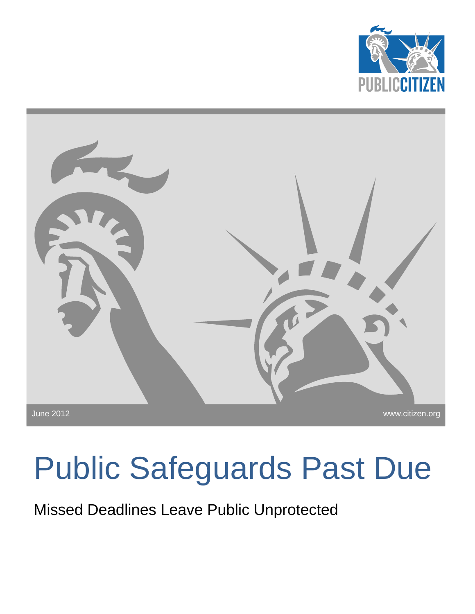



# Public Safeguards Past Due

Missed Deadlines Leave Public Unprotected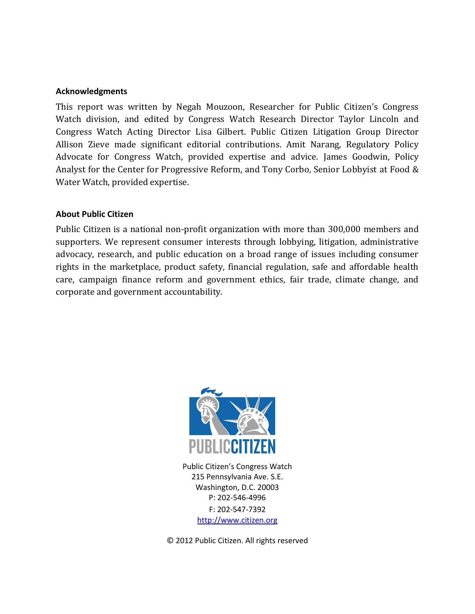#### **Acknowledgments**

This report was written by Negah Mouzoon, Researcher for Public Citizen's Congress Watch division, and edited by Congress Watch Research Director Taylor Lincoln and Congress Watch Acting Director Lisa Gilbert. Public Citizen Litigation Group Director Allison Zieve made significant editorial contributions. Amit Narang, Regulatory Policy Advocate for Congress Watch, provided expertise and advice. James Goodwin, Policy Analyst for the Center for Progressive Reform, and Tony Corbo, Senior Lobbyist at Food & Water Watch, provided expertise.

#### **About Public Citizen**

Public Citizen is a national non-profit organization with more than 300,000 members and supporters. We represent consumer interests through lobbying, litigation, administrative advocacy, research, and public education on a broad range of issues including consumer rights in the marketplace, product safety, financial regulation, safe and affordable health care, campaign finance reform and government ethics, fair trade, climate change, and corporate and government accountability.



Public Citizen's Congress Watch 215 Pennsylvania Ave. S.E. Washington, D.C. 20003 P: 202-546-4996 F: 202-547-7392 [http://www.citizen.org](http://www.citizen.org/)

© 2012 Public Citizen. All rights reserved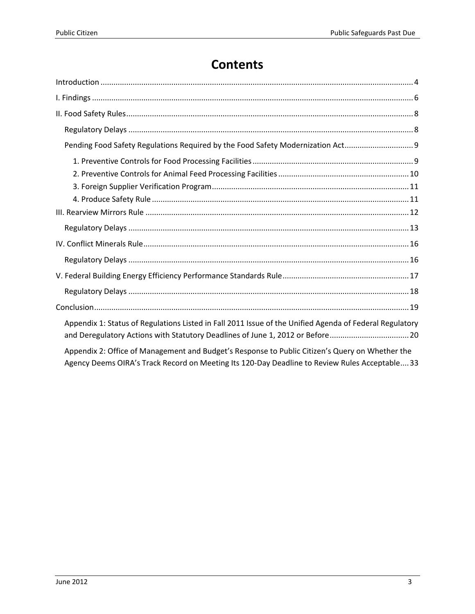# **Contents**

| Pending Food Safety Regulations Required by the Food Safety Modernization Act                                                                                                                     |
|---------------------------------------------------------------------------------------------------------------------------------------------------------------------------------------------------|
|                                                                                                                                                                                                   |
|                                                                                                                                                                                                   |
|                                                                                                                                                                                                   |
|                                                                                                                                                                                                   |
|                                                                                                                                                                                                   |
|                                                                                                                                                                                                   |
|                                                                                                                                                                                                   |
|                                                                                                                                                                                                   |
|                                                                                                                                                                                                   |
|                                                                                                                                                                                                   |
|                                                                                                                                                                                                   |
| Appendix 1: Status of Regulations Listed in Fall 2011 Issue of the Unified Agenda of Federal Regulatory<br>and Deregulatory Actions with Statutory Deadlines of June 1, 2012 or Before20          |
| Appendix 2: Office of Management and Budget's Response to Public Citizen's Query on Whether the<br>Agency Deems OIRA's Track Record on Meeting Its 120-Day Deadline to Review Rules Acceptable 33 |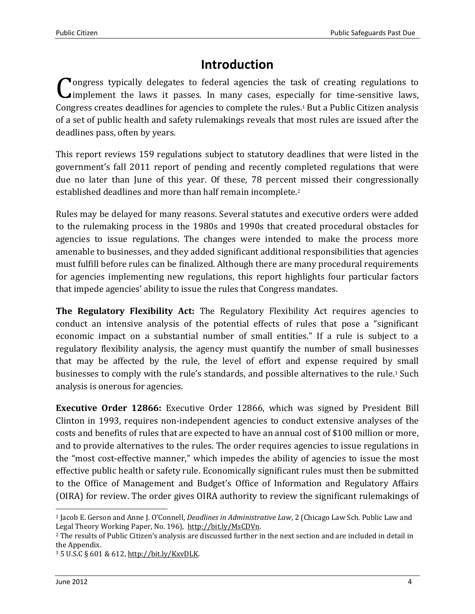# **Introduction**

<span id="page-3-0"></span>**O**ngress typically delegates to federal agencies the task of creating regulations to Congress typically delegates to federal agencies the task of creating regulations to implement the laws it passes. In many cases, especially for time-sensitive laws, Congress creates deadlines for agencies to complete the rules.<sup>1</sup> But a Public Citizen analysis of a set of public health and safety rulemakings reveals that most rules are issued after the deadlines pass, often by years.

This report reviews 159 regulations subject to statutory deadlines that were listed in the government's fall 2011 report of pending and recently completed regulations that were due no later than June of this year. Of these, 78 percent missed their congressionally established deadlines and more than half remain incomplete.<sup>2</sup>

Rules may be delayed for many reasons. Several statutes and executive orders were added to the rulemaking process in the 1980s and 1990s that created procedural obstacles for agencies to issue regulations. The changes were intended to make the process more amenable to businesses, and they added significant additional responsibilities that agencies must fulfill before rules can be finalized. Although there are many procedural requirements for agencies implementing new regulations, this report highlights four particular factors that impede agencies' ability to issue the rules that Congress mandates.

**The Regulatory Flexibility Act:** The Regulatory Flexibility Act requires agencies to conduct an intensive analysis of the potential effects of rules that pose a "significant economic impact on a substantial number of small entities." If a rule is subject to a regulatory flexibility analysis, the agency must quantify the number of small businesses that may be affected by the rule, the level of effort and expense required by small businesses to comply with the rule's standards, and possible alternatives to the rule.<sup>3</sup> Such analysis is onerous for agencies.

**Executive Order 12866:** Executive Order 12866, which was signed by President Bill Clinton in 1993, requires non-independent agencies to conduct extensive analyses of the costs and benefits of rules that are expected to have an annual cost of \$100 million or more, and to provide alternatives to the rules. The order requires agencies to issue regulations in the "most cost-effective manner," which impedes the ability of agencies to issue the most effective public health or safety rule. Economically significant rules must then be submitted to the Office of Management and Budget's Office of Information and Regulatory Affairs (OIRA) for review. The order gives OIRA authority to review the significant rulemakings of

 $\overline{\phantom{0}}$ 

<sup>1</sup> Jacob E. Gerson and Anne J. O'Connell, *Deadlines in Administrative Law*, 2 (Chicago Law Sch. Public Law and Legal Theory Working Paper, No. 196), [http://bit.ly/MsCDVn.](http://bit.ly/MsCDVn)

<sup>2</sup> The results of Public Citizen's analysis are discussed further in the next section and are included in detail in the Appendix.

<sup>3</sup> 5 U.S.C § 601 & 612, [http://bit.ly/KxvDLK.](http://bit.ly/KxvDLK)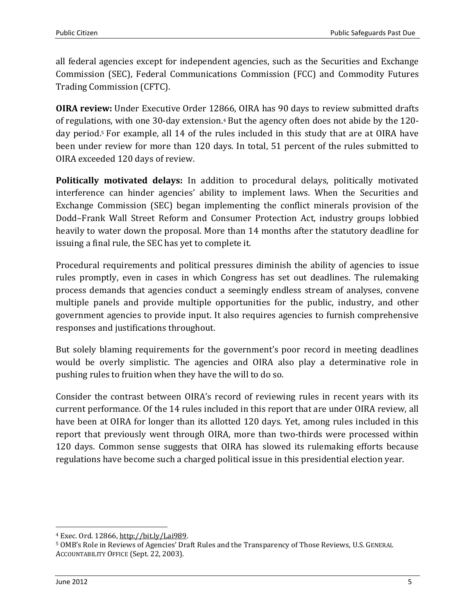all federal agencies except for independent agencies, such as the Securities and Exchange Commission (SEC), Federal Communications Commission (FCC) and Commodity Futures Trading Commission (CFTC).

**OIRA review:** Under Executive Order 12866, OIRA has 90 days to review submitted drafts of regulations, with one 30-day extension.<sup>4</sup> But the agency often does not abide by the 120 day period. <sup>5</sup> For example, all 14 of the rules included in this study that are at OIRA have been under review for more than 120 days. In total, 51 percent of the rules submitted to OIRA exceeded 120 days of review.

**Politically motivated delays:** In addition to procedural delays, politically motivated interference can hinder agencies' ability to implement laws. When the Securities and Exchange Commission (SEC) began implementing the conflict minerals provision of the Dodd–Frank Wall Street Reform and Consumer Protection Act, industry groups lobbied heavily to water down the proposal. More than 14 months after the statutory deadline for issuing a final rule, the SEC has yet to complete it.

Procedural requirements and political pressures diminish the ability of agencies to issue rules promptly, even in cases in which Congress has set out deadlines. The rulemaking process demands that agencies conduct a seemingly endless stream of analyses, convene multiple panels and provide multiple opportunities for the public, industry, and other government agencies to provide input. It also requires agencies to furnish comprehensive responses and justifications throughout.

But solely blaming requirements for the government's poor record in meeting deadlines would be overly simplistic. The agencies and OIRA also play a determinative role in pushing rules to fruition when they have the will to do so.

Consider the contrast between OIRA's record of reviewing rules in recent years with its current performance. Of the 14 rules included in this report that are under OIRA review, all have been at OIRA for longer than its allotted 120 days. Yet, among rules included in this report that previously went through OIRA, more than two-thirds were processed within 120 days. Common sense suggests that OIRA has slowed its rulemaking efforts because regulations have become such a charged political issue in this presidential election year.

l

<sup>4</sup> Exec. Ord. 12866[, http://bit.ly/Lai989.](http://bit.ly/Lai989) 

<sup>5</sup> OMB's Role in Reviews of Agencies' Draft Rules and the Transparency of Those Reviews, U.S. GENERAL ACCOUNTABILITY OFFICE (Sept. 22, 2003).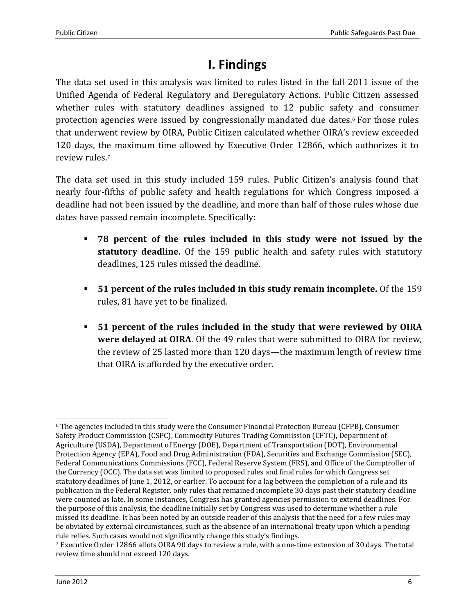# **I. Findings**

<span id="page-5-0"></span>The data set used in this analysis was limited to rules listed in the fall 2011 issue of the Unified Agenda of Federal Regulatory and Deregulatory Actions. Public Citizen assessed whether rules with statutory deadlines assigned to 12 public safety and consumer protection agencies were issued by congressionally mandated due dates.<sup>6</sup> For those rules that underwent review by OIRA, Public Citizen calculated whether OIRA's review exceeded 120 days, the maximum time allowed by Executive Order 12866, which authorizes it to review rules.<sup>7</sup>

The data set used in this study included 159 rules. Public Citizen's analysis found that nearly four-fifths of public safety and health regulations for which Congress imposed a deadline had not been issued by the deadline, and more than half of those rules whose due dates have passed remain incomplete. Specifically:

- **78 percent of the rules included in this study were not issued by the statutory deadline.** Of the 159 public health and safety rules with statutory deadlines, 125 rules missed the deadline.
- **51 percent of the rules included in this study remain incomplete.** Of the 159 rules, 81 have yet to be finalized.
- **51 percent of the rules included in the study that were reviewed by OIRA were delayed at OIRA**. Of the 49 rules that were submitted to OIRA for review, the review of 25 lasted more than 120 days—the maximum length of review time that OIRA is afforded by the executive order.

l <sup>6</sup> The agencies included in this study were the Consumer Financial Protection Bureau (CFPB), Consumer Safety Product Commission (CSPC), Commodity Futures Trading Commission (CFTC), Department of Agriculture (USDA), Department of Energy (DOE), Department of Transportation (DOT), Environmental Protection Agency (EPA), Food and Drug Administration (FDA), Securities and Exchange Commission (SEC), Federal Communications Commissions (FCC), Federal Reserve System (FRS), and Office of the Comptroller of the Currency (OCC). The data set was limited to proposed rules and final rules for which Congress set statutory deadlines of June 1, 2012, or earlier. To account for a lag between the completion of a rule and its publication in the Federal Register, only rules that remained incomplete 30 days past their statutory deadline were counted as late. In some instances, Congress has granted agencies permission to extend deadlines. For the purpose of this analysis, the deadline initially set by Congress was used to determine whether a rule missed its deadline. It has been noted by an outside reader of this analysis that the need for a few rules may be obviated by external circumstances, such as the absence of an international treaty upon which a pending rule relies. Such cases would not significantly change this study's findings.

<sup>7</sup> Executive Order 12866 allots OIRA 90 days to review a rule, with a one-time extension of 30 days. The total review time should not exceed 120 days.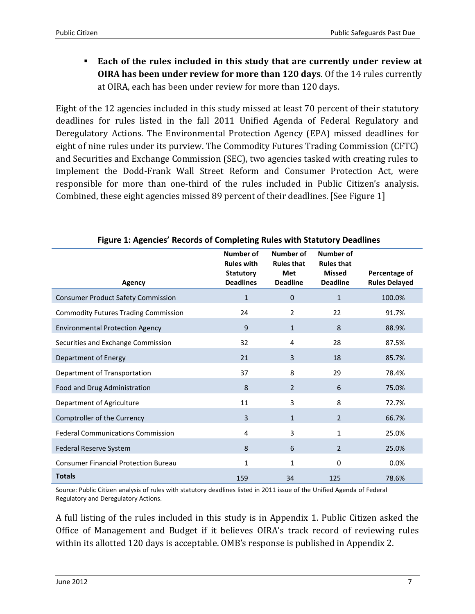**Each of the rules included in this study that are currently under review at OIRA has been under review for more than 120 days**. Of the 14 rules currently at OIRA, each has been under review for more than 120 days.

Eight of the 12 agencies included in this study missed at least 70 percent of their statutory deadlines for rules listed in the fall 2011 Unified Agenda of Federal Regulatory and Deregulatory Actions. The Environmental Protection Agency (EPA) missed deadlines for eight of nine rules under its purview. The Commodity Futures Trading Commission (CFTC) and Securities and Exchange Commission (SEC), two agencies tasked with creating rules to implement the Dodd-Frank Wall Street Reform and Consumer Protection Act, were responsible for more than one-third of the rules included in Public Citizen's analysis. Combined, these eight agencies missed 89 percent of their deadlines. [See Figure 1]

| <b>Agency</b>                               | Number of<br><b>Rules with</b><br><b>Statutory</b><br><b>Deadlines</b> | Number of<br><b>Rules that</b><br>Met<br><b>Deadline</b> | <b>Number of</b><br><b>Rules that</b><br><b>Missed</b><br><b>Deadline</b> | Percentage of<br><b>Rules Delayed</b> |
|---------------------------------------------|------------------------------------------------------------------------|----------------------------------------------------------|---------------------------------------------------------------------------|---------------------------------------|
| <b>Consumer Product Safety Commission</b>   | $\mathbf{1}$                                                           | $\mathbf 0$                                              | $\mathbf{1}$                                                              | 100.0%                                |
| <b>Commodity Futures Trading Commission</b> | 24                                                                     | 2                                                        | 22                                                                        | 91.7%                                 |
| <b>Environmental Protection Agency</b>      | 9                                                                      | $\mathbf{1}$                                             | 8                                                                         | 88.9%                                 |
| Securities and Exchange Commission          | 32                                                                     | 4                                                        | 28                                                                        | 87.5%                                 |
| Department of Energy                        | 21                                                                     | 3                                                        | 18                                                                        | 85.7%                                 |
| Department of Transportation                | 37                                                                     | 8                                                        | 29                                                                        | 78.4%                                 |
| Food and Drug Administration                | 8                                                                      | $\overline{2}$                                           | 6                                                                         | 75.0%                                 |
| Department of Agriculture                   | 11                                                                     | 3                                                        | 8                                                                         | 72.7%                                 |
| Comptroller of the Currency                 | 3                                                                      | $\mathbf{1}$                                             | $\overline{2}$                                                            | 66.7%                                 |
| <b>Federal Communications Commission</b>    | 4                                                                      | 3                                                        | 1                                                                         | 25.0%                                 |
| Federal Reserve System                      | 8                                                                      | 6                                                        | $\overline{2}$                                                            | 25.0%                                 |
| <b>Consumer Financial Protection Bureau</b> | 1                                                                      | $\mathbf{1}$                                             | 0                                                                         | 0.0%                                  |
| <b>Totals</b>                               | 159                                                                    | 34                                                       | 125                                                                       | 78.6%                                 |

**Figure 1: Agencies' Records of Completing Rules with Statutory Deadlines**

Source: Public Citizen analysis of rules with statutory deadlines listed in 2011 issue of the Unified Agenda of Federal Regulatory and Deregulatory Actions.

A full listing of the rules included in this study is in Appendix 1. Public Citizen asked the Office of Management and Budget if it believes OIRA's track record of reviewing rules within its allotted 120 days is acceptable. OMB's response is published in Appendix 2.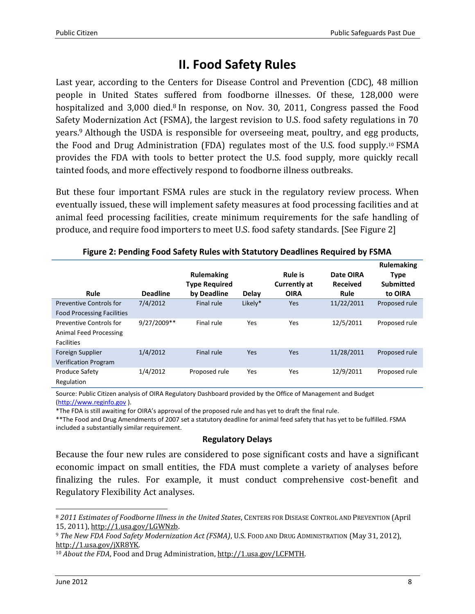# **II. Food Safety Rules**

<span id="page-7-0"></span>Last year, according to the Centers for Disease Control and Prevention (CDC), 48 million people in United States suffered from foodborne illnesses. Of these, 128,000 were hospitalized and 3,000 died.<sup>8</sup> In response, on Nov. 30, 2011, Congress passed the Food Safety Modernization Act (FSMA), the largest revision to U.S. food safety regulations in 70 years.<sup>9</sup> Although the USDA is responsible for overseeing meat, poultry, and egg products, the Food and Drug Administration (FDA) regulates most of the U.S. food supply.<sup>10</sup> FSMA provides the FDA with tools to better protect the U.S. food supply, more quickly recall tainted foods, and more effectively respond to foodborne illness outbreaks.

But these four important FSMA rules are stuck in the regulatory review process. When eventually issued, these will implement safety measures at food processing facilities and at animal feed processing facilities, create minimum requirements for the safe handling of produce, and require food importers to meet U.S. food safety standards. [See Figure 2]

| Rule                                                                   | <b>Deadline</b> | <b>Rulemaking</b><br><b>Type Required</b><br>by Deadline | Delay   | <b>Rule is</b><br><b>Currently at</b><br><b>OIRA</b> | Date OIRA<br><b>Received</b><br>Rule | <b>Rulemaking</b><br><b>Type</b><br><b>Submitted</b><br>to OIRA |
|------------------------------------------------------------------------|-----------------|----------------------------------------------------------|---------|------------------------------------------------------|--------------------------------------|-----------------------------------------------------------------|
| <b>Preventive Controls for</b><br><b>Food Processing Facilities</b>    | 7/4/2012        | Final rule                                               | Likely* | Yes                                                  | 11/22/2011                           | Proposed rule                                                   |
| Preventive Controls for<br>Animal Feed Processing<br><b>Facilities</b> | 9/27/2009**     | Final rule                                               | Yes     | Yes                                                  | 12/5/2011                            | Proposed rule                                                   |
| Foreign Supplier<br><b>Verification Program</b>                        | 1/4/2012        | Final rule                                               | Yes     | Yes                                                  | 11/28/2011                           | Proposed rule                                                   |
| Produce Safety<br>Regulation                                           | 1/4/2012        | Proposed rule                                            | Yes     | Yes                                                  | 12/9/2011                            | Proposed rule                                                   |

**Figure 2: Pending Food Safety Rules with Statutory Deadlines Required by FSMA**

Source: Public Citizen analysis of OIRA Regulatory Dashboard provided by the Office of Management and Budget [\(http://www.reginfo.gov](http://www.reginfo.gov/public/jsp/EO/eoDashboard.jsp) ).

\*The FDA is still awaiting for OIRA's approval of the proposed rule and has yet to draft the final rule.

\*\*The Food and Drug Amendments of 2007 set a statutory deadline for animal feed safety that has yet to be fulfilled. FSMA included a substantially similar requirement.

#### **Regulatory Delays**

<span id="page-7-1"></span>Because the four new rules are considered to pose significant costs and have a significant economic impact on small entities, the FDA must complete a variety of analyses before finalizing the rules. For example, it must conduct comprehensive cost-benefit and Regulatory Flexibility Act analyses.

 $\overline{\phantom{0}}$ <sup>8</sup> *2011 Estimates of Foodborne Illness in the United States*, CENTERS FOR DISEASE CONTROL AND PREVENTION (April 15, 2011)[, http://1.usa.gov/LGWNzb.](http://1.usa.gov/LGWNzb) 

<sup>9</sup> *The New FDA Food Safety Modernization Act (FSMA)*, U.S. FOOD AND DRUG ADMINISTRATION (May 31, 2012), [http://1.usa.gov/jXR8YK.](http://1.usa.gov/jXR8YK) 

<sup>&</sup>lt;sup>10</sup> About the FDA, Food and Drug Administration, http://1.usa.gov/LCFMTH.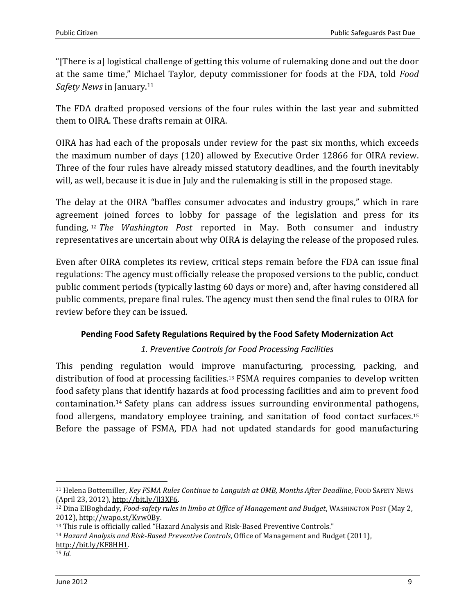"[There is a] logistical challenge of getting this volume of rulemaking done and out the door at the same time," Michael Taylor, deputy commissioner for foods at the FDA, told *Food Safety News* in January.<sup>11</sup>

The FDA drafted proposed versions of the four rules within the last year and submitted them to OIRA. These drafts remain at OIRA.

OIRA has had each of the proposals under review for the past six months, which exceeds the maximum number of days (120) allowed by Executive Order 12866 for OIRA review. Three of the four rules have already missed statutory deadlines, and the fourth inevitably will, as well, because it is due in July and the rulemaking is still in the proposed stage.

The delay at the OIRA "baffles consumer advocates and industry groups," which in rare agreement joined forces to lobby for passage of the legislation and press for its funding, <sup>12</sup> *The Washington Post* reported in May. Both consumer and industry representatives are uncertain about why OIRA is delaying the release of the proposed rules.

Even after OIRA completes its review, critical steps remain before the FDA can issue final regulations: The agency must officially release the proposed versions to the public, conduct public comment periods (typically lasting 60 days or more) and, after having considered all public comments, prepare final rules. The agency must then send the final rules to OIRA for review before they can be issued.

## <span id="page-8-0"></span>**Pending Food Safety Regulations Required by the Food Safety Modernization Act**

## *1. Preventive Controls for Food Processing Facilities*

<span id="page-8-1"></span>This pending regulation would improve manufacturing, processing, packing, and distribution of food at processing facilities. <sup>13</sup> FSMA requires companies to develop written food safety plans that identify hazards at food processing facilities and aim to prevent food contamination. <sup>14</sup> Safety plans can address issues surrounding environmental pathogens, food allergens, mandatory employee training, and sanitation of food contact surfaces.<sup>15</sup> Before the passage of FSMA, FDA had not updated standards for good manufacturing

<sup>14</sup> *Hazard Analysis and Risk-Based Preventive Controls*, Office of Management and Budget (2011), [http://bit.ly/KF8HH1.](http://bit.ly/KF8HH1)

<sup>15</sup> *Id.*

l

<sup>11</sup> Helena Bottemiller, *Key FSMA Rules Continue to Languish at OMB, Months After Deadline*, FOOD SAFETY NEWS (April 23, 2012), [http://bit.ly/Jl3XF6.](http://bit.ly/Jl3XF6) 

<sup>12</sup> Dina ElBoghdady, *Food-safety rules in limbo at Office of Management and Budget*, WASHINGTON POST (May 2, 2012), [http://wapo.st/Kvw0By.](http://wapo.st/Kvw0By) 

<sup>&</sup>lt;sup>13</sup> This rule is officially called "Hazard Analysis and Risk-Based Preventive Controls."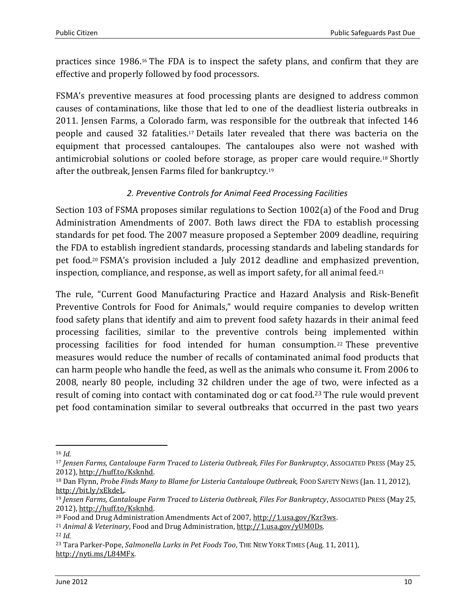practices since 1986.<sup>16</sup> The FDA is to inspect the safety plans, and confirm that they are effective and properly followed by food processors.

FSMA's preventive measures at food processing plants are designed to address common causes of contaminations, like those that led to one of the deadliest listeria outbreaks in 2011. Jensen Farms, a Colorado farm, was responsible for the outbreak that infected 146 people and caused 32 fatalities.<sup>17</sup> Details later revealed that there was bacteria on the equipment that processed cantaloupes. The cantaloupes also were not washed with antimicrobial solutions or cooled before storage, as proper care would require.<sup>18</sup> Shortly after the outbreak, Jensen Farms filed for bankruptcy.<sup>19</sup>

## *2. Preventive Controls for Animal Feed Processing Facilities*

<span id="page-9-0"></span>Section 103 of FSMA proposes similar regulations to Section 1002(a) of the Food and Drug Administration Amendments of 2007. Both laws direct the FDA to establish processing standards for pet food. The 2007 measure proposed a September 2009 deadline, requiring the FDA to establish ingredient standards, processing standards and labeling standards for pet food.<sup>20</sup> FSMA's provision included a July 2012 deadline and emphasized prevention, inspection, compliance, and response, as well as import safety, for all animal feed.<sup>21</sup>

The rule, "Current Good Manufacturing Practice and Hazard Analysis and Risk-Benefit Preventive Controls for Food for Animals," would require companies to develop written food safety plans that identify and aim to prevent food safety hazards in their animal feed processing facilities, similar to the preventive controls being implemented within processing facilities for food intended for human consumption. <sup>22</sup> These preventive measures would reduce the number of recalls of contaminated animal food products that can harm people who handle the feed, as well as the animals who consume it. From 2006 to 2008, nearly 80 people, including 32 children under the age of two, were infected as a result of coming into contact with contaminated dog or cat food.<sup>23</sup> The rule would prevent pet food contamination similar to several outbreaks that occurred in the past two years

l

<sup>16</sup> *Id.*

<sup>17</sup> *Jensen Farms, Cantaloupe Farm Traced to Listeria Outbreak, Files For Bankruptcy*, ASSOCIATED PRESS (May 25, 2012), [http://huff.to/Ksknhd.](http://huff.to/Ksknhd)

<sup>18</sup> Dan Flynn, *Probe Finds Many to Blame for Listeria Cantaloupe Outbreak,* FOOD SAFETY NEWS (Jan. 11, 2012), [http://bit.ly/xEkdeL.](http://bit.ly/xEkdeL)

<sup>19</sup> *Jensen Farms, Cantaloupe Farm Traced to Listeria Outbreak, Files For Bankruptcy*, ASSOCIATED PRESS (May 25, 2012), [http://huff.to/Ksknhd.](http://huff.to/Ksknhd)

<sup>20</sup> Food and Drug Administration Amendments Act of 2007, [http://1.usa.gov/Kzr3ws.](http://1.usa.gov/Kzr3ws) 

<sup>21</sup> *Animal & Veterinary*, Food and Drug Administration[, http://1.usa.gov/yUM0Ds.](http://1.usa.gov/yUM0Ds)  <sup>22</sup> *Id.*

<sup>23</sup> Tara Parker-Pope, *Salmonella Lurks in Pet Foods Too*, THE NEW YORK TIMES (Aug. 11, 2011), [http://nyti.ms/L84MFx.](http://nyti.ms/L84MFx)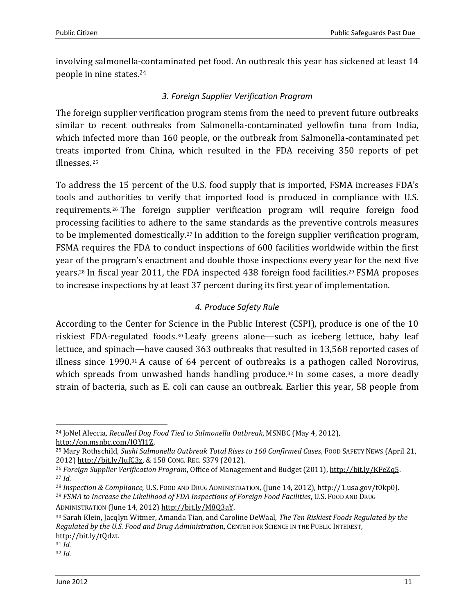involving salmonella-contaminated pet food. An outbreak this year has sickened at least 14 people in nine states.<sup>24</sup>

## *3. Foreign Supplier Verification Program*

<span id="page-10-0"></span>The foreign supplier verification program stems from the need to prevent future outbreaks similar to recent outbreaks from Salmonella-contaminated yellowfin tuna from India, which infected more than 160 people, or the outbreak from Salmonella-contaminated pet treats imported from China, which resulted in the FDA receiving 350 reports of pet illnesses. <sup>25</sup>

To address the 15 percent of the U.S. food supply that is imported, FSMA increases FDA's tools and authorities to verify that imported food is produced in compliance with U.S. requirements. <sup>26</sup> The foreign supplier verification program will require foreign food processing facilities to adhere to the same standards as the preventive controls measures to be implemented domestically.<sup>27</sup> In addition to the foreign supplier verification program, FSMA requires the FDA to conduct inspections of 600 facilities worldwide within the first year of the program's enactment and double those inspections every year for the next five years.<sup>28</sup> In fiscal year 2011, the FDA inspected 438 foreign food facilities.<sup>29</sup> FSMA proposes to increase inspections by at least 37 percent during its first year of implementation.

# *4. Produce Safety Rule*

<span id="page-10-1"></span>According to the Center for Science in the Public Interest (CSPI), produce is one of the 10 riskiest FDA-regulated foods.<sup>30</sup> Leafy greens alone—such as iceberg lettuce, baby leaf lettuce, and spinach—have caused 363 outbreaks that resulted in 13,568 reported cases of illness since 1990.<sup>31</sup> A cause of 64 percent of outbreaks is a pathogen called Norovirus, which spreads from unwashed hands handling produce.<sup>32</sup> In some cases, a more deadly strain of bacteria, such as E. coli can cause an outbreak. Earlier this year, 58 people from

l <sup>24</sup> JoNel Aleccia, *Recalled Dog Food Tied to Salmonella Outbreak*, MSNBC (May 4, 2012), [http://on.msnbc.com/IOYI1Z.](http://on.msnbc.com/IOYI1Z)

<sup>25</sup> Mary Rothschild, *Sushi Salmonella Outbreak Total Rises to 160 Confirmed Cases*, FOOD SAFETY NEWS (April 21, 2012) [http://bit.ly/JufC3z,](http://bit.ly/JufC3z) & 158 CONG. REC. S379 (2012).

<sup>26</sup> *Foreign Supplier Verification Program*, Office of Management and Budget (2011), [http://bit.ly/KFeZq5.](http://bit.ly/KFeZq5)  <sup>27</sup> *Id.*

<sup>28</sup> *Inspection & Compliance,* U.S. FOOD AND DRUG ADMINISTRATION[, \(June 14, 2012\), http://1.usa.gov/t0kp0J.](http://1.usa.gov/t0kp0J) 

<sup>29</sup> *FSMA to Increase the Likelihood of FDA Inspections of Foreign Food Facilities*, U.S. FOOD AND DRUG ADMINISTRATION (June 14, 2012) [http://bit.ly/M8Q3aY.](http://bit.ly/M8Q3aY)

<sup>30</sup> Sarah Klein, Jacqlyn Witmer, Amanda Tian, and Caroline DeWaal, *The Ten Riskiest Foods Regulated by the Regulated by the U.S. Food and Drug Administratio*n, CENTER FOR SCIENCE IN THE PUBLIC INTEREST, [http://bit.ly/tQdzt.](http://bit.ly/tQdzt) 

<sup>31</sup> *Id.*

<sup>32</sup> *Id.*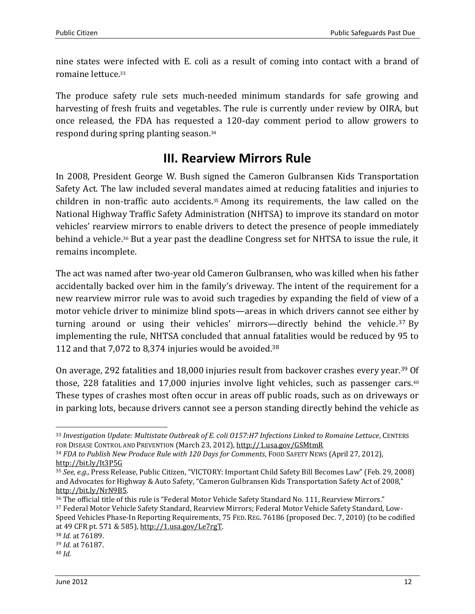nine states were infected with E. coli as a result of coming into contact with a brand of romaine lettuce.<sup>33</sup>

The produce safety rule sets much-needed minimum standards for safe growing and harvesting of fresh fruits and vegetables. The rule is currently under review by OIRA, but once released, the FDA has requested a 120-day comment period to allow growers to respond during spring planting season.<sup>34</sup>

# **III. Rearview Mirrors Rule**

<span id="page-11-0"></span>In 2008, President George W. Bush signed the Cameron Gulbransen Kids Transportation Safety Act. The law included several mandates aimed at reducing fatalities and injuries to children in non-traffic auto accidents.<sup>35</sup> Among its requirements, the law called on the National Highway Traffic Safety Administration (NHTSA) to improve its standard on motor vehicles' rearview mirrors to enable drivers to detect the presence of people immediately behind a vehicle. <sup>36</sup> But a year past the deadline Congress set for NHTSA to issue the rule, it remains incomplete.

The act was named after two-year old Cameron Gulbransen, who was killed when his father accidentally backed over him in the family's driveway. The intent of the requirement for a new rearview mirror rule was to avoid such tragedies by expanding the field of view of a motor vehicle driver to minimize blind spots—areas in which drivers cannot see either by turning around or using their vehicles' mirrors—directly behind the vehicle. <sup>37</sup> By implementing the rule, NHTSA concluded that annual fatalities would be reduced by 95 to 112 and that 7,072 to 8,374 injuries would be avoided. 38

On average, 292 fatalities and 18,000 injuries result from backover crashes every year.<sup>39</sup> Of those, 228 fatalities and 17,000 injuries involve light vehicles, such as passenger cars.<sup>40</sup> These types of crashes most often occur in areas off public roads, such as on driveways or in parking lots, because drivers cannot see a person standing directly behind the vehicle as

 $\overline{a}$ 

<sup>33</sup> *Investigation Update: Multistate Outbreak of E. coli O157:H7 Infections Linked to Romaine Lettuce*, CENTERS FOR DISEASE CONTROL AND PREVENTION (March 23, 2012),<http://1.usa.gov/GSMtmR>

<sup>34</sup> *FDA to Publish New Produce Rule with 120 Days for Comments*, FOOD SAFETY NEWS (April 27, 2012), <http://bit.ly/It3P5G>

<sup>35</sup> *See, e.g.,* Press Release, Public Citizen, "VICTORY: Important Child Safety Bill Becomes Law" (Feb. 29, 2008) and Advocates for Highway & Auto Safety, "Cameron Gulbransen Kids Transportation Safety Act of 2008," [http://bit.ly/NrN9B5.](http://bit.ly/NrN9B5) 

<sup>36</sup> The official title of this rule is "Federal Motor Vehicle Safety Standard No. 111, Rearview Mirrors." <sup>37</sup> Federal Motor Vehicle Safety Standard, Rearview Mirrors; Federal Motor Vehicle Safety Standard, Low-Speed Vehicles Phase-In Reporting Requirements, 75 FED. REG. 76186 (proposed Dec. 7, 2010) (to be codified at 49 CFR pt. 571 & 585), [http://1.usa.gov/Le7rgT.](http://1.usa.gov/Le7rgT)

<sup>38</sup> *Id.* at 76189.

<sup>39</sup> *Id.* at 76187.

<sup>40</sup> *Id.*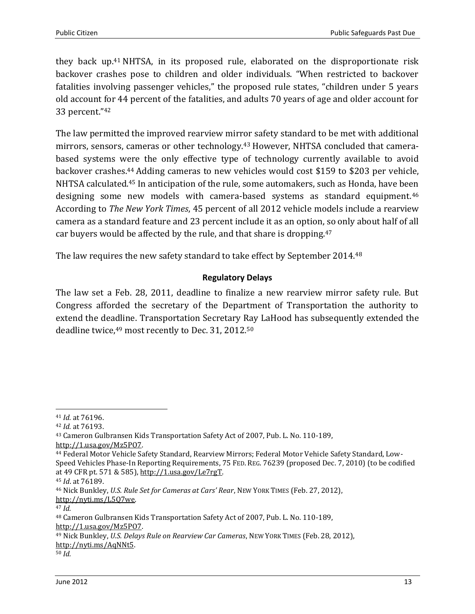they back up.<sup>41</sup> NHTSA, in its proposed rule, elaborated on the disproportionate risk backover crashes pose to children and older individuals. "When restricted to backover fatalities involving passenger vehicles," the proposed rule states, "children under 5 years old account for 44 percent of the fatalities, and adults 70 years of age and older account for 33 percent."<sup>42</sup>

The law permitted the improved rearview mirror safety standard to be met with additional mirrors, sensors, cameras or other technology.<sup>43</sup> However, NHTSA concluded that camerabased systems were the only effective type of technology currently available to avoid backover crashes. <sup>44</sup> Adding cameras to new vehicles would cost \$159 to \$203 per vehicle, NHTSA calculated.<sup>45</sup> In anticipation of the rule, some automakers, such as Honda, have been designing some new models with camera-based systems as standard equipment. 46 According to *The New York Times*, 45 percent of all 2012 vehicle models include a rearview camera as a standard feature and 23 percent include it as an option, so only about half of all car buyers would be affected by the rule, and that share is dropping.<sup>47</sup>

The law requires the new safety standard to take effect by September 2014.<sup>48</sup>

## **Regulatory Delays**

<span id="page-12-0"></span>The law set a Feb. 28, 2011, deadline to finalize a new rearview mirror safety rule. But Congress afforded the secretary of the Department of Transportation the authority to extend the deadline. Transportation Secretary Ray LaHood has subsequently extended the deadline twice,<sup>49</sup> most recently to Dec. 31, 2012.<sup>50</sup>

 $\overline{\phantom{0}}$ 

[http://1.usa.gov/Mz5PO7.](http://1.usa.gov/Mz5PO7)

<sup>41</sup> *Id.* at 76196.

<sup>42</sup> *Id.* at 76193.

<sup>43</sup> Cameron Gulbransen Kids Transportation Safety Act of 2007, Pub. L. No. 110-189, [http://1.usa.gov/Mz5PO7.](http://1.usa.gov/Mz5PO7) 

<sup>44</sup> Federal Motor Vehicle Safety Standard, Rearview Mirrors; Federal Motor Vehicle Safety Standard, Low-Speed Vehicles Phase-In Reporting Requirements, 75 FED. REG. 76239 (proposed Dec. 7, 2010) (to be codified at 49 CFR pt. 571 & 585), [http://1.usa.gov/Le7rgT.](http://1.usa.gov/Le7rgT)

<sup>45</sup> *Id*. at 76189.

<sup>46</sup> Nick Bunkley, *U.S. Rule Set for Cameras at Cars' Rear*, NEW YORK TIMES (Feb. 27, 2012), [http://nyti.ms/L5Q7we.](http://nyti.ms/L5Q7we)

<sup>47</sup> *Id.*

<sup>48</sup> Cameron Gulbransen Kids Transportation Safety Act of 2007, Pub. L. No. 110-189,

<sup>49</sup> Nick Bunkley, *U.S. Delays Rule on Rearview Car Cameras*, NEW YORK TIMES (Feb. 28, 2012), [http://nyti.ms/AqNNt5.](http://nyti.ms/AqNNt5) 

<sup>50</sup> *Id.*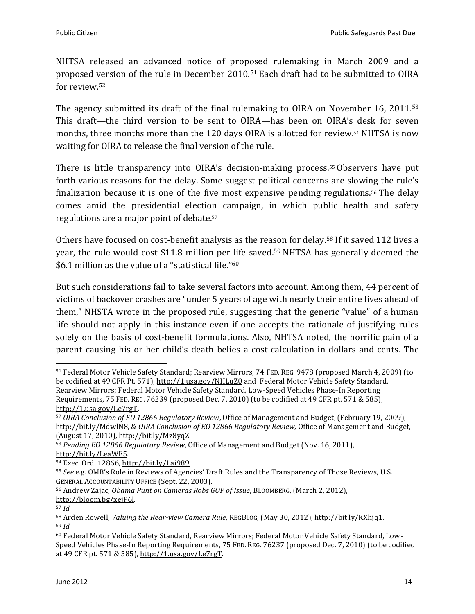NHTSA released an advanced notice of proposed rulemaking in March 2009 and a proposed version of the rule in December 2010.<sup>51</sup> Each draft had to be submitted to OIRA for review.<sup>52</sup>

The agency submitted its draft of the final rulemaking to OIRA on November 16, 2011.<sup>53</sup> This draft—the third version to be sent to OIRA—has been on OIRA's desk for seven months, three months more than the 120 days OIRA is allotted for review. <sup>54</sup> NHTSA is now waiting for OIRA to release the final version of the rule.

There is little transparency into OIRA's decision-making process.<sup>55</sup> Observers have put forth various reasons for the delay. Some suggest political concerns are slowing the rule's finalization because it is one of the five most expensive pending regulations.<sup>56</sup> The delay comes amid the presidential election campaign, in which public health and safety regulations are a major point of debate. 57

Others have focused on cost-benefit analysis as the reason for delay.<sup>58</sup> If it saved 112 lives a year, the rule would cost \$11.8 million per life saved. <sup>59</sup> NHTSA has generally deemed the \$6.1 million as the value of a "statistical life." 60

But such considerations fail to take several factors into account. Among them, 44 percent of victims of backover crashes are "under 5 years of age with nearly their entire lives ahead of them," NHSTA wrote in the proposed rule, suggesting that the generic "value" of a human life should not apply in this instance even if one accepts the rationale of justifying rules solely on the basis of cost-benefit formulations. Also, NHTSA noted, the horrific pain of a parent causing his or her child's death belies a cost calculation in dollars and cents. The

 $\overline{\phantom{0}}$ <sup>51</sup> Federal Motor Vehicle Safety Standard; Rearview Mirrors, 74 FED. REG. 9478 (proposed March 4, 2009) (to be codified at 49 CFR Pt. 571),<http://1.usa.gov/NHLuZ0> and Federal Motor Vehicle Safety Standard, Rearview Mirrors; Federal Motor Vehicle Safety Standard, Low-Speed Vehicles Phase-In Reporting Requirements, 75 FED. REG. 76239 (proposed Dec. 7, 2010) (to be codified at 49 CFR pt. 571 & 585), [http://1.usa.gov/Le7rgT.](http://1.usa.gov/Le7rgT)

<sup>52</sup> *OIRA Conclusion of EO 12866 Regulatory Review*, Office of Management and Budget,(February 19, 2009), [http://bit.ly/MdwlN8,](http://bit.ly/MdwlN8) & *OIRA Conclusion of EO 12866 Regulatory Review*, Office of Management and Budget, (August 17, 2010)[, http://bit.ly/Mz8yqZ.](http://bit.ly/Mz8yqZ)

<sup>53</sup> *Pending EO 12866 Regulatory Review*, Office of Management and Budget (Nov. 16, 2011), [http://bit.ly/LeaWE5.](http://bit.ly/LeaWE5) 

<sup>54</sup> Exec. Ord. 12866, [http://bit.ly/Lai989.](http://bit.ly/Lai989)

<sup>55</sup> *See* e.g. OMB's Role in Reviews of Agencies' Draft Rules and the Transparency of Those Reviews, U.S. GENERAL ACCOUNTABILITY OFFICE (Sept. 22, 2003).

<sup>56</sup> Andrew Zajac, *Obama Punt on Cameras Robs GOP of Issue*, BLOOMBERG, (March 2, 2012), [http://bloom.bg/xejP6l.](http://bloom.bg/xejP6l)

<sup>57</sup> *Id.*

<sup>58</sup> Arden Rowell, *Valuing the Rear-view Camera Rule*, REGBLOG, (May 30, 2012), [http://bit.ly/KXhjq1.](http://bit.ly/KXhjq1)  <sup>59</sup> *Id.*

<sup>60</sup> Federal Motor Vehicle Safety Standard, Rearview Mirrors; Federal Motor Vehicle Safety Standard, Low-Speed Vehicles Phase-In Reporting Requirements, 75 FED. REG. 76237 (proposed Dec. 7, 2010) (to be codified at 49 CFR pt. 571 & 585), [http://1.usa.gov/Le7rgT.](http://1.usa.gov/Le7rgT)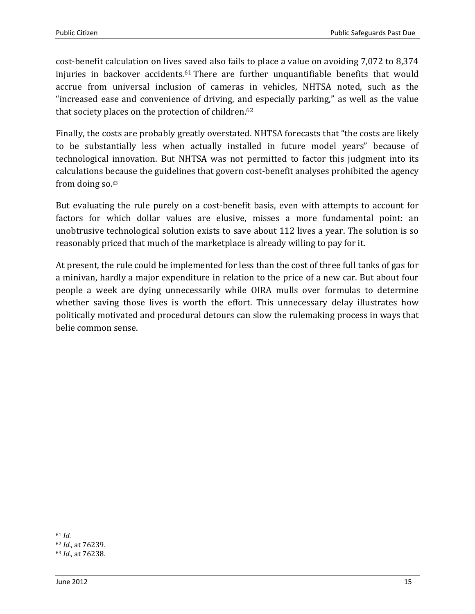cost-benefit calculation on lives saved also fails to place a value on avoiding 7,072 to 8,374 injuries in backover accidents.<sup>61</sup> There are further unquantifiable benefits that would accrue from universal inclusion of cameras in vehicles, NHTSA noted, such as the "increased ease and convenience of driving, and especially parking," as well as the value that society places on the protection of children. 62

Finally, the costs are probably greatly overstated. NHTSA forecasts that "the costs are likely to be substantially less when actually installed in future model years" because of technological innovation. But NHTSA was not permitted to factor this judgment into its calculations because the guidelines that govern cost-benefit analyses prohibited the agency from doing so.<sup>63</sup>

But evaluating the rule purely on a cost-benefit basis, even with attempts to account for factors for which dollar values are elusive, misses a more fundamental point: an unobtrusive technological solution exists to save about 112 lives a year. The solution is so reasonably priced that much of the marketplace is already willing to pay for it.

<span id="page-14-0"></span>At present, the rule could be implemented for less than the cost of three full tanks of gas for a minivan, hardly a major expenditure in relation to the price of a new car. But about four people a week are dying unnecessarily while OIRA mulls over formulas to determine whether saving those lives is worth the effort. This unnecessary delay illustrates how politically motivated and procedural detours can slow the rulemaking process in ways that belie common sense.

l <sup>61</sup> *Id.*

<sup>62</sup> *Id.*, at 76239. <sup>63</sup> *Id.*, at 76238.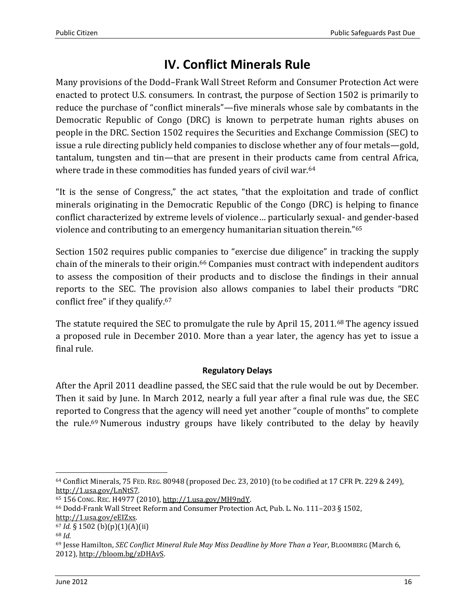# **IV. Conflict Minerals Rule**

Many provisions of the Dodd*–*Frank Wall Street Reform and Consumer Protection Act were enacted to protect U.S. consumers. In contrast, the purpose of Section 1502 is primarily to reduce the purchase of "conflict minerals"—five minerals whose sale by combatants in the Democratic Republic of Congo (DRC) is known to perpetrate human rights abuses on people in the DRC. Section 1502 requires the Securities and Exchange Commission (SEC) to issue a rule directing publicly held companies to disclose whether any of four metals—gold, tantalum, tungsten and tin—that are present in their products came from central Africa, where trade in these commodities has funded years of civil war.<sup>64</sup>

"It is the sense of Congress," the act states, "that the exploitation and trade of conflict minerals originating in the Democratic Republic of the Congo (DRC) is helping to finance conflict characterized by extreme levels of violence… particularly sexual- and gender-based violence and contributing to an emergency humanitarian situation therein." 65

Section 1502 requires public companies to "exercise due diligence" in tracking the supply chain of the minerals to their origin.<sup>66</sup> Companies must contract with independent auditors to assess the composition of their products and to disclose the findings in their annual reports to the SEC. The provision also allows companies to label their products "DRC conflict free" if they qualify. 67

The statute required the SEC to promulgate the rule by April 15, 2011.<sup>68</sup> The agency issued a proposed rule in December 2010. More than a year later, the agency has yet to issue a final rule.

## **Regulatory Delays**

<span id="page-15-0"></span>After the April 2011 deadline passed, the SEC said that the rule would be out by December. Then it said by June. In March 2012, nearly a full year after a final rule was due, the SEC reported to Congress that the agency will need yet another "couple of months" to complete the rule.<sup>69</sup> Numerous industry groups have likely contributed to the delay by heavily

 $\overline{\phantom{0}}$ <sup>64</sup> Conflict Minerals, 75 FED. REG. 80948 (proposed Dec. 23, 2010) (to be codified at 17 CFR Pt. 229 & 249), [http://1.usa.gov/LnNtS7.](http://1.usa.gov/LnNtS7)

<sup>65</sup> 156 CONG. REC. H4977 (2010), [http://1.usa.gov/MH9ndY.](http://1.usa.gov/MH9ndY)

<sup>66</sup> Dodd-Frank Wall Street Reform and Consumer Protection Act, Pub. L. No. 111–203 § 1502, [http://1.usa.gov/eEIZxs.](http://1.usa.gov/eEIZxs)

<sup>67</sup> *Id.* § 1502 (b)(p)(1)(A)(ii)

<sup>68</sup> *Id.*

<sup>69</sup> Jesse Hamilton, *SEC Conflict Mineral Rule May Miss Deadline by More Than a Year*, BLOOMBERG (March 6, 2012), [http://bloom.bg/zDHAvS.](http://bloom.bg/zDHAvS)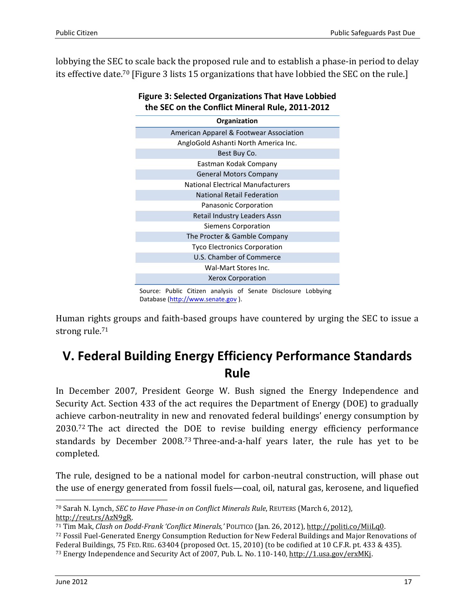lobbying the SEC to scale back the proposed rule and to establish a phase-in period to delay its effective date. <sup>70</sup> [Figure 3 lists 15 organizations that have lobbied the SEC on the rule.]



## **Figure 3: Selected Organizations That Have Lobbied the SEC on the Conflict Mineral Rule, 2011-2012**

Database [\(http://www.senate.gov](http://www.senate.gov/) ).

Human rights groups and faith-based groups have countered by urging the SEC to issue a strong rule.<sup>71</sup>

# <span id="page-16-0"></span>**V. Federal Building Energy Efficiency Performance Standards Rule**

In December 2007, President George W. Bush signed the Energy Independence and Security Act. Section 433 of the act requires the Department of Energy (DOE) to gradually achieve carbon-neutrality in new and renovated federal buildings' energy consumption by 2030.<sup>72</sup> The act directed the DOE to revise building energy efficiency performance standards by December 2008.<sup>73</sup> Three-and-a-half years later, the rule has yet to be completed.

The rule, designed to be a national model for carbon-neutral construction, will phase out the use of energy generated from fossil fuels—coal, oil, natural gas, kerosene, and liquefied

 $\overline{a}$ 

<sup>70</sup> Sarah N. Lynch, *SEC to Have Phase-in on Conflict Minerals Rule*, REUTERS (March 6, 2012), [http://reut.rs/AzN9gR.](http://reut.rs/AzN9gR) 

<sup>71</sup> Tim Mak, *Clash on Dodd-Frank 'Conflict Minerals,'* POLITICO (Jan. 26, 2012), [http://politi.co/MiiLq0.](http://politi.co/MiiLq0)  <sup>72</sup> Fossil Fuel-Generated Energy Consumption Reduction for New Federal Buildings and Major Renovations of Federal Buildings, 75 FED. REG. 63404 (proposed Oct. 15, 2010) (to be codified at 10 C.F.R. pt. 433 & 435).

<sup>73</sup> Energy Independence and Security Act of 2007, Pub. L. No. 110-140, [http://1.usa.gov/erxMKj.](http://1.usa.gov/erxMKj)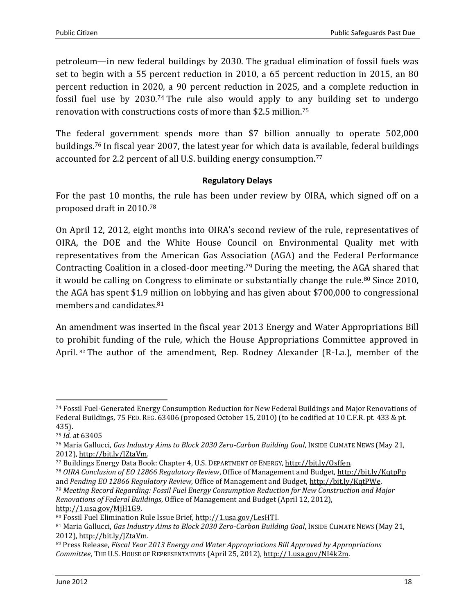petroleum—in new federal buildings by 2030. The gradual elimination of fossil fuels was set to begin with a 55 percent reduction in 2010, a 65 percent reduction in 2015, an 80 percent reduction in 2020, a 90 percent reduction in 2025, and a complete reduction in fossil fuel use by 2030.<sup>74</sup> The rule also would apply to any building set to undergo renovation with constructions costs of more than \$2.5 million.<sup>75</sup>

The federal government spends more than \$7 billion annually to operate 502,000 buildings.<sup>76</sup> In fiscal year 2007, the latest year for which data is available, federal buildings accounted for 2.2 percent of all U.S. building energy consumption.<sup>77</sup>

## <span id="page-17-0"></span>**Regulatory Delays**

For the past 10 months, the rule has been under review by OIRA, which signed off on a proposed draft in 2010. 78

On April 12, 2012, eight months into OIRA's second review of the rule, representatives of OIRA, the DOE and the White House Council on Environmental Quality met with representatives from the American Gas Association (AGA) and the Federal Performance Contracting Coalition in a closed-door meeting.<sup>79</sup> During the meeting, the AGA shared that it would be calling on Congress to eliminate or substantially change the rule.<sup>80</sup> Since 2010, the AGA has spent \$1.9 million on lobbying and has given about \$700,000 to congressional members and candidates.<sup>81</sup>

An amendment was inserted in the fiscal year 2013 Energy and Water Appropriations Bill to prohibit funding of the rule, which the House Appropriations Committee approved in April. <sup>82</sup> The author of the amendment, Rep. Rodney Alexander (R-La.), member of the

 $\overline{\phantom{0}}$ 

<sup>79</sup> *Meeting Record Regarding: Fossil Fuel Energy Consumption Reduction for New Construction and Major Renovations of Federal Buildings*, Office of Management and Budget (April 12, 2012), [http://1.usa.gov/MjH1G9.](http://1.usa.gov/MjH1G9) 

<sup>74</sup> Fossil Fuel-Generated Energy Consumption Reduction for New Federal Buildings and Major Renovations of Federal Buildings, 75 FED. REG. 63406 (proposed October 15, 2010) (to be codified at 10 C.F.R. pt. 433 & pt. 435).

<sup>75</sup> *Id.* at 63405

<sup>76</sup> Maria Gallucci, *Gas Industry Aims to Block 2030 Zero-Carbon Building Goal*, INSIDE CLIMATE NEWS (May 21, 2012), [http://bit.ly/JZtaVm.](http://bit.ly/JZtaVm) 

<sup>77</sup> Buildings Energy Data Book: Chapter 4, U.S. DEPARTMENT OF ENERGY, [http://bit.ly/Osffen.](http://bit.ly/Osffen) 

<sup>78</sup> *OIRA Conclusion of EO 12866 Regulatory Review*, Office of Management and Budget,<http://bit.ly/KqtpPp> and *Pending EO 12866 Regulatory Review*, Office of Management and Budget, [http://bit.ly/KqtPWe.](http://bit.ly/KqtPWe)

<sup>80</sup> Fossil Fuel Elimination Rule Issue Brief, [http://1.usa.gov/LesHTI.](http://1.usa.gov/LesHTI) 

<sup>81</sup> Maria Gallucci, *Gas Industry Aims to Block 2030 Zero-Carbon Building Goal*, INSIDE CLIMATE NEWS (May 21, 2012), [http://bit.ly/JZtaVm.](http://bit.ly/JZtaVm) 

*<sup>82</sup>* Press Release, *Fiscal Year 2013 Energy and Water Appropriations Bill Approved by Appropriations Committee*, THE U.S. HOUSE OF REPRESENTATIVES (April 25, 2012), [http://1.usa.gov/NI4k2m.](http://1.usa.gov/NI4k2m)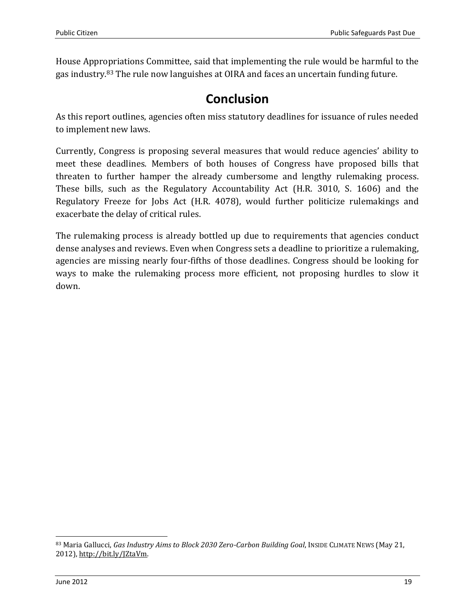House Appropriations Committee, said that implementing the rule would be harmful to the gas industry.<sup>83</sup> The rule now languishes at OIRA and faces an uncertain funding future.

# **Conclusion**

<span id="page-18-0"></span>As this report outlines, agencies often miss statutory deadlines for issuance of rules needed to implement new laws.

Currently, Congress is proposing several measures that would reduce agencies' ability to meet these deadlines. Members of both houses of Congress have proposed bills that threaten to further hamper the already cumbersome and lengthy rulemaking process. These bills, such as the Regulatory Accountability Act (H.R. 3010, S. 1606) and the Regulatory Freeze for Jobs Act (H.R. 4078), would further politicize rulemakings and exacerbate the delay of critical rules.

The rulemaking process is already bottled up due to requirements that agencies conduct dense analyses and reviews. Even when Congress sets a deadline to prioritize a rulemaking, agencies are missing nearly four-fifths of those deadlines. Congress should be looking for ways to make the rulemaking process more efficient, not proposing hurdles to slow it down.

 $\overline{\phantom{0}}$ 

<sup>83</sup> Maria Gallucci, *Gas Industry Aims to Block 2030 Zero-Carbon Building Goal*, INSIDE CLIMATE NEWS (May 21, 2012), [http://bit.ly/JZtaVm.](http://bit.ly/JZtaVm)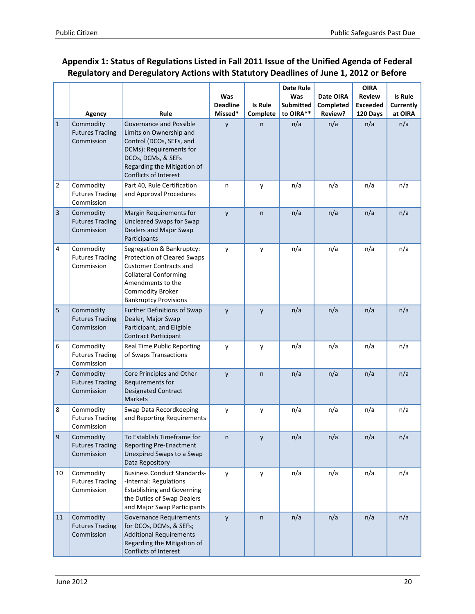# <span id="page-19-0"></span>**Appendix 1: Status of Regulations Listed in Fall 2011 Issue of the Unified Agenda of Federal Regulatory and Deregulatory Actions with Statutory Deadlines of June 1, 2012 or Before**

|                |                                                   |                                                                                                                                                                                                           | Was<br><b>Deadline</b> | Is Rule  | Date Rule<br>Was<br><b>Submitted</b> | Date OIRA<br>Completed | <b>OIRA</b><br><b>Review</b><br><b>Exceeded</b> | <b>Is Rule</b><br>Currently |
|----------------|---------------------------------------------------|-----------------------------------------------------------------------------------------------------------------------------------------------------------------------------------------------------------|------------------------|----------|--------------------------------------|------------------------|-------------------------------------------------|-----------------------------|
|                | Agency                                            | Rule                                                                                                                                                                                                      | Missed*                | Complete | to OIRA**                            | Review?                | 120 Days                                        | at OIRA                     |
| $\mathbf{1}$   | Commodity<br><b>Futures Trading</b><br>Commission | Governance and Possible<br>Limits on Ownership and<br>Control (DCOs, SEFs, and<br>DCMs): Requirements for<br>DCOs, DCMs, & SEFs<br>Regarding the Mitigation of<br><b>Conflicts of Interest</b>            | y                      | n.       | n/a                                  | n/a                    | n/a                                             | n/a                         |
| $\overline{2}$ | Commodity<br><b>Futures Trading</b><br>Commission | Part 40, Rule Certification<br>and Approval Procedures                                                                                                                                                    | n                      | у        | n/a                                  | n/a                    | n/a                                             | n/a                         |
| 3              | Commodity<br><b>Futures Trading</b><br>Commission | Margin Requirements for<br>Uncleared Swaps for Swap<br>Dealers and Major Swap<br>Participants                                                                                                             | y                      | n        | n/a                                  | n/a                    | n/a                                             | n/a                         |
| 4              | Commodity<br><b>Futures Trading</b><br>Commission | Segregation & Bankruptcy:<br>Protection of Cleared Swaps<br><b>Customer Contracts and</b><br><b>Collateral Conforming</b><br>Amendments to the<br><b>Commodity Broker</b><br><b>Bankruptcy Provisions</b> | y                      | y        | n/a                                  | n/a                    | n/a                                             | n/a                         |
| 5              | Commodity<br><b>Futures Trading</b><br>Commission | Further Definitions of Swap<br>Dealer, Major Swap<br>Participant, and Eligible<br><b>Contract Participant</b>                                                                                             | y                      | y        | n/a                                  | n/a                    | n/a                                             | n/a                         |
| 6              | Commodity<br><b>Futures Trading</b><br>Commission | <b>Real Time Public Reporting</b><br>of Swaps Transactions                                                                                                                                                | y                      | y        | n/a                                  | n/a                    | n/a                                             | n/a                         |
| 7              | Commodity<br><b>Futures Trading</b><br>Commission | Core Principles and Other<br>Requirements for<br>Designated Contract<br><b>Markets</b>                                                                                                                    | y                      | n        | n/a                                  | n/a                    | n/a                                             | n/a                         |
| 8              | Commodity<br><b>Futures Trading</b><br>Commission | Swap Data Recordkeeping<br>and Reporting Requirements                                                                                                                                                     | y                      | у        | n/a                                  | n/a                    | n/a                                             | n/a                         |
| 9              | Commodity<br><b>Futures Trading</b><br>Commission | To Establish Timeframe for<br><b>Reporting Pre-Enactment</b><br>Unexpired Swaps to a Swap<br>Data Repository                                                                                              | n                      | y        | n/a                                  | n/a                    | n/a                                             | n/a                         |
| 10             | Commodity<br><b>Futures Trading</b><br>Commission | <b>Business Conduct Standards-</b><br>-Internal: Regulations<br><b>Establishing and Governing</b><br>the Duties of Swap Dealers<br>and Major Swap Participants                                            | y                      | y        | n/a                                  | n/a                    | n/a                                             | n/a                         |
| 11             | Commodity<br><b>Futures Trading</b><br>Commission | Governance Requirements<br>for DCOs, DCMs, & SEFs;<br><b>Additional Requirements</b><br>Regarding the Mitigation of<br>Conflicts of Interest                                                              | y                      | n        | n/a                                  | n/a                    | n/a                                             | n/a                         |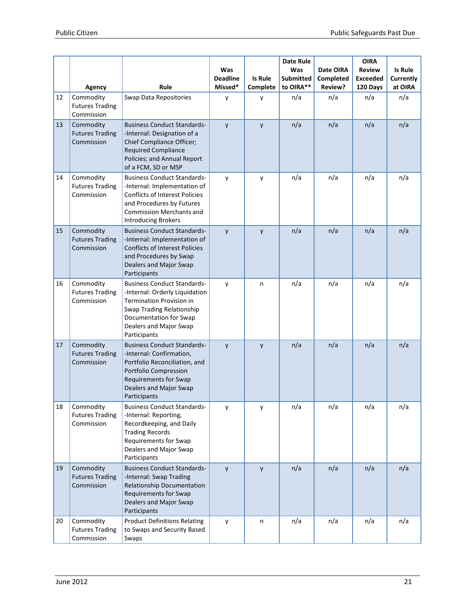|    | Agency                                            | Rule                                                                                                                                                                                                      | Was<br><b>Deadline</b><br>Missed* | Is Rule<br>Complete | <b>Date Rule</b><br>Was<br><b>Submitted</b><br>to OIRA** | Date OIRA<br>Completed<br>Review? | <b>OIRA</b><br><b>Review</b><br><b>Exceeded</b><br>120 Days | <b>Is Rule</b><br>Currently<br>at OIRA |
|----|---------------------------------------------------|-----------------------------------------------------------------------------------------------------------------------------------------------------------------------------------------------------------|-----------------------------------|---------------------|----------------------------------------------------------|-----------------------------------|-------------------------------------------------------------|----------------------------------------|
| 12 | Commodity<br><b>Futures Trading</b><br>Commission | Swap Data Repositories                                                                                                                                                                                    | у                                 | y                   | n/a                                                      | n/a                               | n/a                                                         | n/a                                    |
| 13 | Commodity<br><b>Futures Trading</b><br>Commission | <b>Business Conduct Standards-</b><br>-Internal: Designation of a<br>Chief Compliance Officer;<br><b>Required Compliance</b><br>Policies; and Annual Report<br>of a FCM, SD or MSP                        | y                                 | y                   | n/a                                                      | n/a                               | n/a                                                         | n/a                                    |
| 14 | Commodity<br><b>Futures Trading</b><br>Commission | <b>Business Conduct Standards-</b><br>-Internal: Implementation of<br><b>Conflicts of Interest Policies</b><br>and Procedures by Futures<br><b>Commission Merchants and</b><br><b>Introducing Brokers</b> | y                                 | y                   | n/a                                                      | n/a                               | n/a                                                         | n/a                                    |
| 15 | Commodity<br><b>Futures Trading</b><br>Commission | <b>Business Conduct Standards-</b><br>-Internal: Implementation of<br><b>Conflicts of Interest Policies</b><br>and Procedures by Swap<br>Dealers and Major Swap<br>Participants                           | y                                 | y                   | n/a                                                      | n/a                               | n/a                                                         | n/a                                    |
| 16 | Commodity<br><b>Futures Trading</b><br>Commission | <b>Business Conduct Standards-</b><br>-Internal: Orderly Liquidation<br><b>Termination Provision in</b><br>Swap Trading Relationship<br>Documentation for Swap<br>Dealers and Major Swap<br>Participants  | y                                 | n                   | n/a                                                      | n/a                               | n/a                                                         | n/a                                    |
| 17 | Commodity<br><b>Futures Trading</b><br>Commission | <b>Business Conduct Standards-</b><br>-Internal: Confirmation,<br>Portfolio Reconciliation, and<br>Portfolio Compression<br><b>Requirements for Swap</b><br>Dealers and Major Swap<br>Participants        | y                                 | $\mathsf{y}$        | n/a                                                      | n/a                               | n/a                                                         | n/a                                    |
| 18 | Commodity<br><b>Futures Trading</b><br>Commission | <b>Business Conduct Standards-</b><br>-Internal: Reporting,<br>Recordkeeping, and Daily<br><b>Trading Records</b><br>Requirements for Swap<br>Dealers and Major Swap<br>Participants                      | у                                 | у                   | n/a                                                      | n/a                               | n/a                                                         | n/a                                    |
| 19 | Commodity<br><b>Futures Trading</b><br>Commission | <b>Business Conduct Standards-</b><br>-Internal: Swap Trading<br>Relationship Documentation<br><b>Requirements for Swap</b><br>Dealers and Major Swap<br>Participants                                     | y                                 | y                   | n/a                                                      | n/a                               | n/a                                                         | n/a                                    |
| 20 | Commodity<br><b>Futures Trading</b><br>Commission | <b>Product Definitions Relating</b><br>to Swaps and Security Based<br>Swaps                                                                                                                               | y                                 | n                   | n/a                                                      | n/a                               | n/a                                                         | n/a                                    |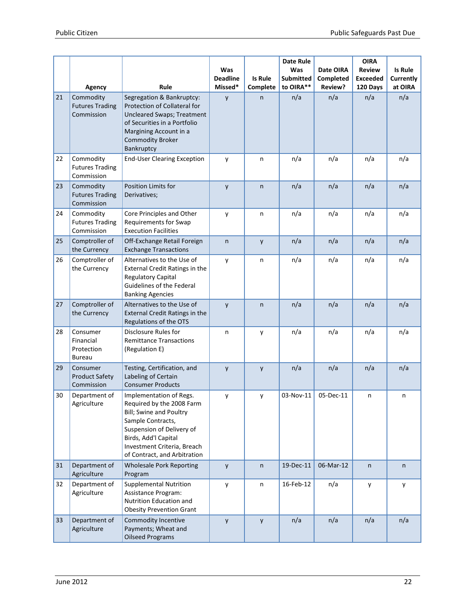|    |                                                      |                                                                                                                                                                                                                                 | Was                        |                     | <b>Date Rule</b><br>Was       | Date OIRA            | <b>OIRA</b><br><b>Review</b> | <b>Is Rule</b>       |
|----|------------------------------------------------------|---------------------------------------------------------------------------------------------------------------------------------------------------------------------------------------------------------------------------------|----------------------------|---------------------|-------------------------------|----------------------|------------------------------|----------------------|
|    | Agency                                               | Rule                                                                                                                                                                                                                            | <b>Deadline</b><br>Missed* | Is Rule<br>Complete | <b>Submitted</b><br>to OIRA** | Completed<br>Review? | <b>Exceeded</b><br>120 Days  | Currently<br>at OIRA |
| 21 | Commodity<br><b>Futures Trading</b><br>Commission    | Segregation & Bankruptcy:<br>Protection of Collateral for<br><b>Uncleared Swaps; Treatment</b><br>of Securities in a Portfolio<br>Margining Account in a<br><b>Commodity Broker</b><br>Bankruptcy                               | y                          | n                   | n/a                           | n/a                  | n/a                          | n/a                  |
| 22 | Commodity<br><b>Futures Trading</b><br>Commission    | <b>End-User Clearing Exception</b>                                                                                                                                                                                              | y                          | n                   | n/a                           | n/a                  | n/a                          | n/a                  |
| 23 | Commodity<br><b>Futures Trading</b><br>Commission    | Position Limits for<br>Derivatives;                                                                                                                                                                                             | y                          | $\mathsf{n}$        | n/a                           | n/a                  | n/a                          | n/a                  |
| 24 | Commodity<br><b>Futures Trading</b><br>Commission    | Core Principles and Other<br><b>Requirements for Swap</b><br><b>Execution Facilities</b>                                                                                                                                        | y                          | n                   | n/a                           | n/a                  | n/a                          | n/a                  |
| 25 | Comptroller of<br>the Currency                       | Off-Exchange Retail Foreign<br><b>Exchange Transactions</b>                                                                                                                                                                     | n                          | y                   | n/a                           | n/a                  | n/a                          | n/a                  |
| 26 | Comptroller of<br>the Currency                       | Alternatives to the Use of<br><b>External Credit Ratings in the</b><br><b>Regulatory Capital</b><br>Guidelines of the Federal<br><b>Banking Agencies</b>                                                                        | y                          | n                   | n/a                           | n/a                  | n/a                          | n/a                  |
| 27 | Comptroller of<br>the Currency                       | Alternatives to the Use of<br><b>External Credit Ratings in the</b><br>Regulations of the OTS                                                                                                                                   | y                          | $\mathsf{n}$        | n/a                           | n/a                  | n/a                          | n/a                  |
| 28 | Consumer<br>Financial<br>Protection<br><b>Bureau</b> | Disclosure Rules for<br><b>Remittance Transactions</b><br>(Regulation E)                                                                                                                                                        | n                          | у                   | n/a                           | n/a                  | n/a                          | n/a                  |
| 29 | Consumer<br><b>Product Safety</b><br>Commission      | Testing, Certification, and<br>Labeling of Certain<br><b>Consumer Products</b>                                                                                                                                                  | y                          | y                   | n/a                           | n/a                  | n/a                          | n/a                  |
| 30 | Department of<br>Agriculture                         | Implementation of Regs.<br>Required by the 2008 Farm<br><b>Bill; Swine and Poultry</b><br>Sample Contracts,<br>Suspension of Delivery of<br>Birds, Add'l Capital<br>Investment Criteria, Breach<br>of Contract, and Arbitration | y                          | y                   | 03-Nov-11                     | 05-Dec-11            | n                            | n                    |
| 31 | Department of<br>Agriculture                         | <b>Wholesale Pork Reporting</b><br>Program                                                                                                                                                                                      | y                          | n                   | 19-Dec-11                     | 06-Mar-12            | n                            | n                    |
| 32 | Department of<br>Agriculture                         | <b>Supplemental Nutrition</b><br>Assistance Program:<br>Nutrition Education and<br><b>Obesity Prevention Grant</b>                                                                                                              | у                          | n                   | 16-Feb-12                     | n/a                  | y                            | y                    |
| 33 | Department of<br>Agriculture                         | Commodity Incentive<br>Payments; Wheat and<br><b>Oilseed Programs</b>                                                                                                                                                           | y                          | y                   | n/a                           | n/a                  | n/a                          | n/a                  |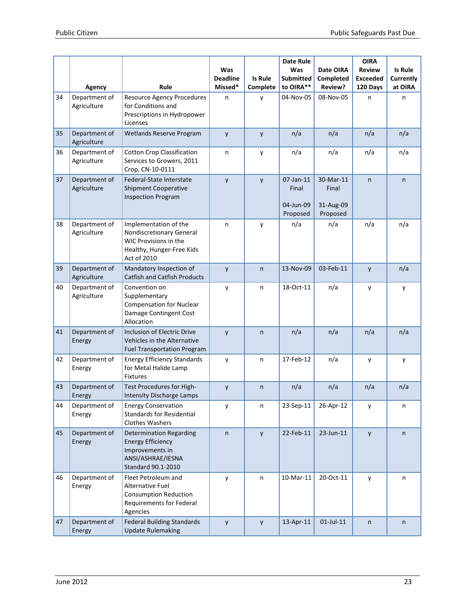|    | Agency                       | Rule                                                                                                                     | Was<br><b>Deadline</b><br>Missed* | <b>Is Rule</b><br>Complete | <b>Date Rule</b><br>Was<br><b>Submitted</b><br>to OIRA** | Date OIRA<br>Completed<br>Review?           | <b>OIRA</b><br><b>Review</b><br><b>Exceeded</b><br>120 Days | <b>Is Rule</b><br>Currently<br>at OIRA |
|----|------------------------------|--------------------------------------------------------------------------------------------------------------------------|-----------------------------------|----------------------------|----------------------------------------------------------|---------------------------------------------|-------------------------------------------------------------|----------------------------------------|
| 34 | Department of<br>Agriculture | <b>Resource Agency Procedures</b><br>for Conditions and<br>Prescriptions in Hydropower<br>Licenses                       | n                                 | y                          | 04-Nov-05                                                | 08-Nov-05                                   | n                                                           | n                                      |
| 35 | Department of<br>Agriculture | Wetlands Reserve Program                                                                                                 | y                                 | y                          | n/a                                                      | n/a                                         | n/a                                                         | n/a                                    |
| 36 | Department of<br>Agriculture | <b>Cotton Crop Classification</b><br>Services to Growers, 2011<br>Crop, CN-10-0111                                       | n                                 | y                          | n/a                                                      | n/a                                         | n/a                                                         | n/a                                    |
| 37 | Department of<br>Agriculture | Federal-State Interstate<br><b>Shipment Cooperative</b><br><b>Inspection Program</b>                                     | y                                 | $\mathsf{y}$               | 07-Jan-11<br>Final<br>04-Jun-09<br>Proposed              | 30-Mar-11<br>Final<br>31-Aug-09<br>Proposed | n                                                           | n                                      |
| 38 | Department of<br>Agriculture | Implementation of the<br>Nondiscretionary General<br>WIC Provisions in the<br>Healthy, Hunger-Free Kids<br>Act of 2010   | n                                 | y                          | n/a                                                      | n/a                                         | n/a                                                         | n/a                                    |
| 39 | Department of<br>Agriculture | Mandatory Inspection of<br><b>Catfish and Catfish Products</b>                                                           | y                                 | $\mathsf{n}$               | 13-Nov-09                                                | 03-Feb-11                                   | y                                                           | n/a                                    |
| 40 | Department of<br>Agriculture | Convention on<br>Supplementary<br><b>Compensation for Nuclear</b><br>Damage Contingent Cost<br>Allocation                | y                                 | n                          | 18-Oct-11                                                | n/a                                         | y                                                           | у                                      |
| 41 | Department of<br>Energy      | <b>Inclusion of Electric Drive</b><br>Vehicles in the Alternative<br><b>Fuel Transportation Program</b>                  | y                                 | $\mathsf{n}$               | n/a                                                      | n/a                                         | n/a                                                         | n/a                                    |
| 42 | Department of<br>Energy      | <b>Energy Efficiency Standards</b><br>for Metal Halide Lamp<br><b>Fixtures</b>                                           | y                                 | n                          | 17-Feb-12                                                | n/a                                         | у                                                           | у                                      |
| 43 | Department of<br>Energy      | Test Procedures for High-<br><b>Intensity Discharge Lamps</b>                                                            | y                                 | $\mathsf{n}$               | n/a                                                      | n/a                                         | n/a                                                         | n/a                                    |
| 44 | Department of<br>Energy      | <b>Energy Conservation</b><br><b>Standards for Residential</b><br><b>Clothes Washers</b>                                 | у                                 | n                          | 23-Sep-11                                                | 26-Apr-12                                   | y                                                           | n                                      |
| 45 | Department of<br>Energy      | <b>Determination Regarding</b><br><b>Energy Efficiency</b><br>Improvements in<br>ANSI/ASHRAE/IESNA<br>Standard 90.1-2010 | n                                 | y                          | 22-Feb-11                                                | 23-Jun-11                                   | y                                                           | n                                      |
| 46 | Department of<br>Energy      | Fleet Petroleum and<br>Alternative Fuel<br><b>Consumption Reduction</b><br>Requirements for Federal<br>Agencies          | y                                 | n                          | 10-Mar-11                                                | 20-Oct-11                                   | y                                                           | n                                      |
| 47 | Department of<br>Energy      | <b>Federal Building Standards</b><br><b>Update Rulemaking</b>                                                            | y                                 | y                          | 13-Apr-11                                                | $01$ -Jul-11                                | n                                                           | n                                      |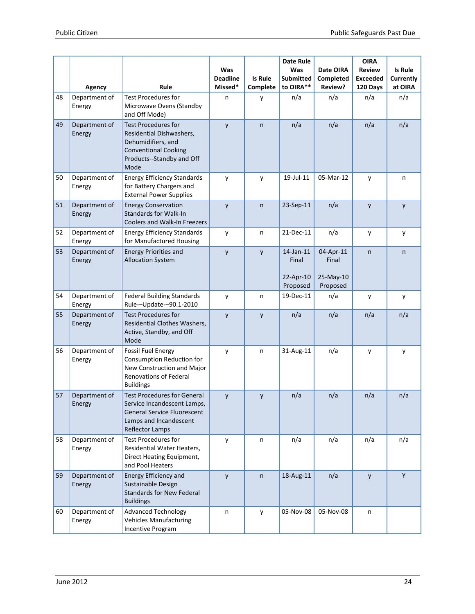|    |                         |                                                                                                                                                      | Was<br><b>Deadline</b> | <b>Is Rule</b> | <b>Date Rule</b><br>Was<br><b>Submitted</b> | Date OIRA<br>Completed | <b>OIRA</b><br><b>Review</b><br><b>Exceeded</b> | <b>Is Rule</b><br>Currently |
|----|-------------------------|------------------------------------------------------------------------------------------------------------------------------------------------------|------------------------|----------------|---------------------------------------------|------------------------|-------------------------------------------------|-----------------------------|
|    | Agency                  | Rule                                                                                                                                                 | Missed*                | Complete       | to OIRA**                                   | Review?                | 120 Days                                        | at OIRA                     |
| 48 | Department of<br>Energy | <b>Test Procedures for</b><br>Microwave Ovens (Standby<br>and Off Mode)                                                                              | n                      | y              | n/a                                         | n/a                    | n/a                                             | n/a                         |
| 49 | Department of<br>Energy | <b>Test Procedures for</b><br>Residential Dishwashers,<br>Dehumidifiers, and<br><b>Conventional Cooking</b><br>Products--Standby and Off<br>Mode     | y                      | $\mathsf{n}$   | n/a                                         | n/a                    | n/a                                             | n/a                         |
| 50 | Department of<br>Energy | <b>Energy Efficiency Standards</b><br>for Battery Chargers and<br><b>External Power Supplies</b>                                                     | y                      | у              | 19-Jul-11                                   | 05-Mar-12              | y                                               | n                           |
| 51 | Department of<br>Energy | <b>Energy Conservation</b><br><b>Standards for Walk-In</b><br><b>Coolers and Walk-In Freezers</b>                                                    | y                      | $\mathsf{n}$   | 23-Sep-11                                   | n/a                    | y                                               | y                           |
| 52 | Department of<br>Energy | <b>Energy Efficiency Standards</b><br>for Manufactured Housing                                                                                       | y                      | n              | 21-Dec-11                                   | n/a                    | y                                               | y                           |
| 53 | Department of<br>Energy | <b>Energy Priorities and</b><br><b>Allocation System</b>                                                                                             | y                      | y              | 14-Jan-11<br>Final                          | 04-Apr-11<br>Final     | n                                               | n                           |
|    |                         |                                                                                                                                                      |                        |                | 22-Apr-10<br>Proposed                       | 25-May-10<br>Proposed  |                                                 |                             |
| 54 | Department of<br>Energy | <b>Federal Building Standards</b><br>Rule--Update--90.1-2010                                                                                         | y                      | n              | 19-Dec-11                                   | n/a                    | у                                               | y                           |
| 55 | Department of<br>Energy | <b>Test Procedures for</b><br>Residential Clothes Washers,<br>Active, Standby, and Off<br>Mode                                                       | y                      | y              | n/a                                         | n/a                    | n/a                                             | n/a                         |
| 56 | Department of<br>Energy | <b>Fossil Fuel Energy</b><br>Consumption Reduction for<br>New Construction and Major<br><b>Renovations of Federal</b><br><b>Buildings</b>            | у                      | n              | 31-Aug-11                                   | n/a                    | у                                               | y                           |
| 57 | Department of<br>Energy | <b>Test Procedures for General</b><br>Service Incandescent Lamps,<br><b>General Service Fluorescent</b><br>Lamps and Incandescent<br>Reflector Lamps | y                      | y              | n/a                                         | n/a                    | n/a                                             | n/a                         |
| 58 | Department of<br>Energy | <b>Test Procedures for</b><br>Residential Water Heaters,<br>Direct Heating Equipment,<br>and Pool Heaters                                            | у                      | n              | n/a                                         | n/a                    | n/a                                             | n/a                         |
| 59 | Department of<br>Energy | Energy Efficiency and<br>Sustainable Design<br><b>Standards for New Federal</b><br><b>Buildings</b>                                                  | y                      | $\mathsf{n}$   | 18-Aug-11                                   | n/a                    | y                                               | Y                           |
| 60 | Department of<br>Energy | <b>Advanced Technology</b><br><b>Vehicles Manufacturing</b><br>Incentive Program                                                                     | n                      | y              | 05-Nov-08                                   | 05-Nov-08              | n                                               |                             |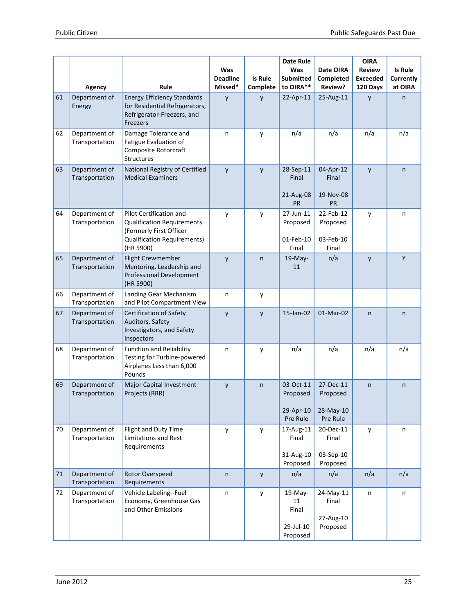|    |                                   |                                                                                                                                                   | Was                        |                | Date Rule<br>Was                                | Date OIRA                                      | <b>OIRA</b><br><b>Review</b> | <b>Is Rule</b>       |
|----|-----------------------------------|---------------------------------------------------------------------------------------------------------------------------------------------------|----------------------------|----------------|-------------------------------------------------|------------------------------------------------|------------------------------|----------------------|
|    |                                   | Rule                                                                                                                                              | <b>Deadline</b><br>Missed* | <b>Is Rule</b> | <b>Submitted</b><br>to OIRA**                   | <b>Completed</b><br>Review?                    | <b>Exceeded</b>              | Currently<br>at OIRA |
| 61 | Agency<br>Department of<br>Energy | <b>Energy Efficiency Standards</b><br>for Residential Refrigerators,<br>Refrigerator-Freezers, and<br><b>Freezers</b>                             | y                          | Complete<br>y  | 22-Apr-11                                       | 25-Aug-11                                      | 120 Days<br>y                | n                    |
| 62 | Department of<br>Transportation   | Damage Tolerance and<br><b>Fatigue Evaluation of</b><br>Composite Rotorcraft<br><b>Structures</b>                                                 | n                          | y              | n/a                                             | n/a                                            | n/a                          | n/a                  |
| 63 | Department of<br>Transportation   | National Registry of Certified<br><b>Medical Examiners</b>                                                                                        | y                          | y              | 28-Sep-11<br>Final<br>21-Aug-08<br><b>PR</b>    | 04-Apr-12<br>Final<br>19-Nov-08<br>PR          | y                            | n                    |
| 64 | Department of<br>Transportation   | <b>Pilot Certification and</b><br><b>Qualification Requirements</b><br>(Formerly First Officer<br><b>Qualification Requirements)</b><br>(HR 5900) | y                          | y              | 27-Jun-11<br>Proposed<br>01-Feb-10<br>Final     | 22-Feb-12<br>Proposed<br>03-Feb-10<br>Final    | y                            | n                    |
| 65 | Department of<br>Transportation   | <b>Flight Crewmember</b><br>Mentoring, Leadership and<br>Professional Development<br>(HR 5900)                                                    | y                          | $\mathsf{n}$   | $19-May-$<br>11                                 | n/a                                            | y                            | Y                    |
| 66 | Department of<br>Transportation   | Landing Gear Mechanism<br>and Pilot Compartment View                                                                                              | n                          | y              |                                                 |                                                |                              |                      |
| 67 | Department of<br>Transportation   | <b>Certification of Safety</b><br>Auditors, Safety<br>Investigators, and Safety<br>Inspectors                                                     | y                          | y              | 15-Jan-02                                       | 01-Mar-02                                      | n                            | n                    |
| 68 | Department of<br>Transportation   | <b>Function and Reliability</b><br>Testing for Turbine-powered<br>Airplanes Less than 6,000<br>Pounds                                             | n                          | y              | n/a                                             | n/a                                            | n/a                          | n/a                  |
| 69 | Department of<br>Transportation   | Major Capital Investment<br>Projects (RRR)                                                                                                        | y                          | $\mathsf{n}$   | 03-Oct-11<br>Proposed<br>29-Apr-10<br>Pre Rule  | 27-Dec-11<br>Proposed<br>28-May-10<br>Pre Rule | n                            | n                    |
| 70 | Department of<br>Transportation   | Flight and Duty Time<br><b>Limitations and Rest</b><br>Requirements                                                                               | y                          | y              | 17-Aug-11<br>Final<br>31-Aug-10<br>Proposed     | 20-Dec-11<br>Final<br>03-Sep-10<br>Proposed    | у                            | n                    |
| 71 | Department of<br>Transportation   | Rotor Overspeed<br>Requirements                                                                                                                   | n                          | y              | n/a                                             | n/a                                            | n/a                          | n/a                  |
| 72 | Department of<br>Transportation   | Vehicle Labeling--Fuel<br>Economy, Greenhouse Gas<br>and Other Emissions                                                                          | n                          | y              | 19-May-<br>11<br>Final<br>29-Jul-10<br>Proposed | 24-May-11<br>Final<br>27-Aug-10<br>Proposed    | n                            | n                    |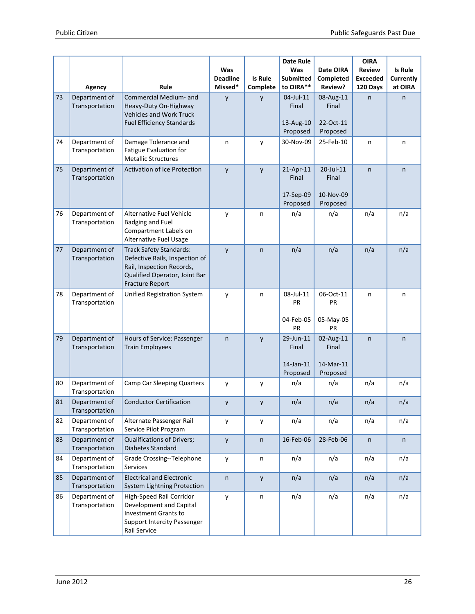|    |                                 |                                                                                                                                                          | Was<br><b>Deadline</b> | <b>Is Rule</b> | <b>Date Rule</b><br>Was<br><b>Submitted</b> | Date OIRA<br>Completed                      | <b>OIRA</b><br><b>Review</b><br><b>Exceeded</b> | <b>Is Rule</b><br>Currently |
|----|---------------------------------|----------------------------------------------------------------------------------------------------------------------------------------------------------|------------------------|----------------|---------------------------------------------|---------------------------------------------|-------------------------------------------------|-----------------------------|
|    | Agency                          | Rule                                                                                                                                                     | Missed*                | Complete       | to OIRA**                                   | Review?                                     | 120 Days                                        | at OIRA                     |
| 73 | Department of<br>Transportation | Commercial Medium- and<br>Heavy-Duty On-Highway<br><b>Vehicles and Work Truck</b><br><b>Fuel Efficiency Standards</b>                                    | y                      | y              | 04-Jul-11<br>Final<br>13-Aug-10<br>Proposed | 08-Aug-11<br>Final<br>22-Oct-11<br>Proposed | n                                               | n                           |
| 74 | Department of<br>Transportation | Damage Tolerance and<br><b>Fatigue Evaluation for</b><br><b>Metallic Structures</b>                                                                      | n                      | y              | 30-Nov-09                                   | 25-Feb-10                                   | n                                               | n                           |
| 75 | Department of<br>Transportation | <b>Activation of Ice Protection</b>                                                                                                                      | y                      | y              | 21-Apr-11<br>Final<br>17-Sep-09<br>Proposed | 20-Jul-11<br>Final<br>10-Nov-09<br>Proposed | n.                                              | n.                          |
| 76 | Department of<br>Transportation | Alternative Fuel Vehicle<br><b>Badging and Fuel</b><br>Compartment Labels on<br>Alternative Fuel Usage                                                   | y                      | n              | n/a                                         | n/a                                         | n/a                                             | n/a                         |
| 77 | Department of<br>Transportation | <b>Track Safety Standards:</b><br>Defective Rails, Inspection of<br>Rail, Inspection Records,<br>Qualified Operator, Joint Bar<br><b>Fracture Report</b> | y                      | n              | n/a                                         | n/a                                         | n/a                                             | n/a                         |
| 78 | Department of<br>Transportation | Unified Registration System                                                                                                                              | y                      | n              | 08-Jul-11<br>PR<br>04-Feb-05<br>PR          | 06-Oct-11<br>PR<br>05-May-05<br><b>PR</b>   | n                                               | n                           |
| 79 | Department of<br>Transportation | Hours of Service: Passenger<br><b>Train Employees</b>                                                                                                    | $\mathsf{n}$           | y              | 29-Jun-11<br>Final<br>14-Jan-11<br>Proposed | 02-Aug-11<br>Final<br>14-Mar-11<br>Proposed | n                                               | n                           |
| 80 | Department of<br>Transportation | <b>Camp Car Sleeping Quarters</b>                                                                                                                        | у                      | у              | n/a                                         | n/a                                         | n/a                                             | n/a                         |
| 81 | Department of<br>Transportation | Conductor Certification                                                                                                                                  | y                      | у              | n/a                                         | n/a                                         | n/a                                             | n/a                         |
| 82 | Department of<br>Transportation | Alternate Passenger Rail<br>Service Pilot Program                                                                                                        | y                      | у              | n/a                                         | n/a                                         | n/a                                             | n/a                         |
| 83 | Department of<br>Transportation | Qualifications of Drivers;<br>Diabetes Standard                                                                                                          | y                      | n              | 16-Feb-06                                   | 28-Feb-06                                   | n                                               | n                           |
| 84 | Department of<br>Transportation | Grade Crossing--Telephone<br>Services                                                                                                                    | y                      | n              | n/a                                         | n/a                                         | n/a                                             | n/a                         |
| 85 | Department of<br>Transportation | <b>Electrical and Electronic</b><br>System Lightning Protection                                                                                          | $\sf n$                | y              | n/a                                         | n/a                                         | n/a                                             | n/a                         |
| 86 | Department of<br>Transportation | High-Speed Rail Corridor<br>Development and Capital<br><b>Investment Grants to</b><br>Support Intercity Passenger<br>Rail Service                        | y                      | n              | n/a                                         | n/a                                         | n/a                                             | n/a                         |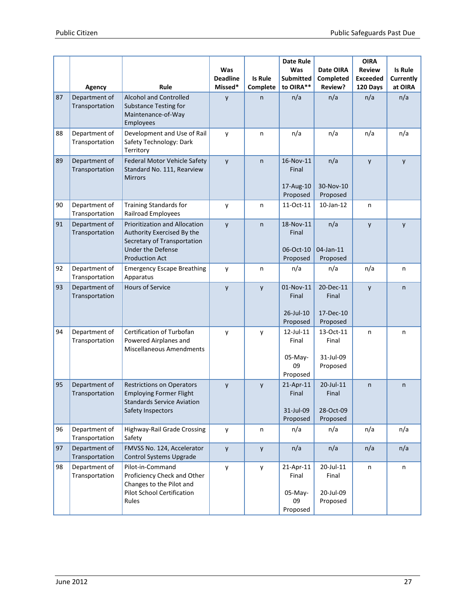|    |                                 |                                                                                                                                          |                                   |                            | <b>Date Rule</b>                                |                                             | <b>OIRA</b>                                  |                                        |
|----|---------------------------------|------------------------------------------------------------------------------------------------------------------------------------------|-----------------------------------|----------------------------|-------------------------------------------------|---------------------------------------------|----------------------------------------------|----------------------------------------|
|    | Agency                          | Rule                                                                                                                                     | Was<br><b>Deadline</b><br>Missed* | <b>Is Rule</b><br>Complete | Was<br><b>Submitted</b><br>to OIRA**            | Date OIRA<br>Completed<br>Review?           | <b>Review</b><br><b>Exceeded</b><br>120 Days | <b>Is Rule</b><br>Currently<br>at OIRA |
| 87 | Department of<br>Transportation | <b>Alcohol and Controlled</b><br><b>Substance Testing for</b><br>Maintenance-of-Way<br>Employees                                         | y                                 | n                          | n/a                                             | n/a                                         | n/a                                          | n/a                                    |
| 88 | Department of<br>Transportation | Development and Use of Rail<br>Safety Technology: Dark<br>Territory                                                                      | y                                 | n                          | n/a                                             | n/a                                         | n/a                                          | n/a                                    |
| 89 | Department of<br>Transportation | Federal Motor Vehicle Safety<br>Standard No. 111, Rearview<br><b>Mirrors</b>                                                             | y                                 | $\mathsf{n}$               | 16-Nov-11<br>Final<br>17-Aug-10<br>Proposed     | n/a<br>30-Nov-10<br>Proposed                | y                                            | y                                      |
| 90 | Department of<br>Transportation | <b>Training Standards for</b><br><b>Railroad Employees</b>                                                                               | y                                 | n                          | 11-Oct-11                                       | $10$ -Jan- $12$                             | n                                            |                                        |
| 91 | Department of<br>Transportation | Prioritization and Allocation<br>Authority Exercised By the<br>Secretary of Transportation<br>Under the Defense<br><b>Production Act</b> | y                                 | n                          | 18-Nov-11<br>Final<br>06-Oct-10<br>Proposed     | n/a<br>04-Jan-11<br>Proposed                | y                                            | y                                      |
| 92 | Department of<br>Transportation | <b>Emergency Escape Breathing</b><br>Apparatus                                                                                           | y                                 | n                          | n/a                                             | n/a                                         | n/a                                          | n                                      |
| 93 | Department of<br>Transportation | <b>Hours of Service</b>                                                                                                                  | y                                 | y                          | 01-Nov-11<br>Final<br>26-Jul-10<br>Proposed     | 20-Dec-11<br>Final<br>17-Dec-10<br>Proposed | y                                            | n                                      |
| 94 | Department of<br>Transportation | Certification of Turbofan<br>Powered Airplanes and<br><b>Miscellaneous Amendments</b>                                                    | y                                 | у                          | 12-Jul-11<br>Final<br>05-May-<br>09<br>Proposed | 13-Oct-11<br>Final<br>31-Jul-09<br>Proposed | n                                            | n                                      |
| 95 | Department of<br>Transportation | <b>Restrictions on Operators</b><br><b>Employing Former Flight</b><br>Standards Service Aviation<br>Safety Inspectors                    | y                                 | y                          | 21-Apr-11<br>Final<br>31-Jul-09<br>Proposed     | 20-Jul-11<br>Final<br>28-Oct-09<br>Proposed | n                                            | n                                      |
| 96 | Department of<br>Transportation | Highway-Rail Grade Crossing<br>Safety                                                                                                    | y                                 | n                          | n/a                                             | n/a                                         | n/a                                          | n/a                                    |
| 97 | Department of<br>Transportation | FMVSS No. 124, Accelerator<br>Control Systems Upgrade                                                                                    | y                                 | y                          | n/a                                             | n/a                                         | n/a                                          | n/a                                    |
| 98 | Department of<br>Transportation | Pilot-in-Command<br>Proficiency Check and Other<br>Changes to the Pilot and<br><b>Pilot School Certification</b><br>Rules                | y                                 | y                          | 21-Apr-11<br>Final<br>05-May-<br>09<br>Proposed | 20-Jul-11<br>Final<br>20-Jul-09<br>Proposed | n                                            | n                                      |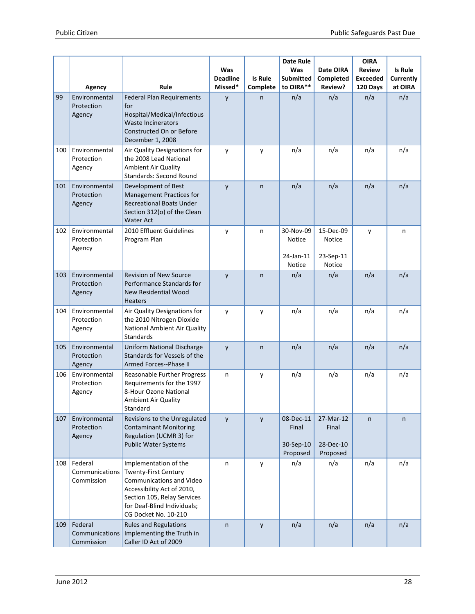|     |                                                 | Rule                                                                                                                                                                                                 | Was<br><b>Deadline</b><br>Missed* | Is Rule<br>Complete | <b>Date Rule</b><br>Was<br><b>Submitted</b><br>to OIRA** | Date OIRA<br>Completed<br>Review?           | <b>OIRA</b><br><b>Review</b><br><b>Exceeded</b><br>120 Days | <b>Is Rule</b><br>Currently<br>at OIRA |
|-----|-------------------------------------------------|------------------------------------------------------------------------------------------------------------------------------------------------------------------------------------------------------|-----------------------------------|---------------------|----------------------------------------------------------|---------------------------------------------|-------------------------------------------------------------|----------------------------------------|
| 99  | Agency<br>Environmental<br>Protection<br>Agency | <b>Federal Plan Requirements</b><br>for<br>Hospital/Medical/Infectious<br><b>Waste Incinerators</b><br>Constructed On or Before<br>December 1, 2008                                                  | y                                 | $\mathsf{n}$        | n/a                                                      | n/a                                         | n/a                                                         | n/a                                    |
| 100 | Environmental<br>Protection<br>Agency           | Air Quality Designations for<br>the 2008 Lead National<br>Ambient Air Quality<br><b>Standards: Second Round</b>                                                                                      | y                                 | y                   | n/a                                                      | n/a                                         | n/a                                                         | n/a                                    |
| 101 | Environmental<br>Protection<br>Agency           | Development of Best<br><b>Management Practices for</b><br><b>Recreational Boats Under</b><br>Section 312(o) of the Clean<br><b>Water Act</b>                                                         | y                                 | $\mathsf{n}$        | n/a                                                      | n/a                                         | n/a                                                         | n/a                                    |
| 102 | Environmental<br>Protection<br>Agency           | 2010 Effluent Guidelines<br>Program Plan                                                                                                                                                             | y                                 | n                   | 30-Nov-09<br>Notice<br>24-Jan-11<br>Notice               | 15-Dec-09<br>Notice<br>23-Sep-11<br>Notice  | y                                                           | n                                      |
| 103 | Environmental<br>Protection<br>Agency           | <b>Revision of New Source</b><br>Performance Standards for<br><b>New Residential Wood</b><br><b>Heaters</b>                                                                                          | y                                 | $\mathsf{n}$        | n/a                                                      | n/a                                         | n/a                                                         | n/a                                    |
| 104 | Environmental<br>Protection<br>Agency           | Air Quality Designations for<br>the 2010 Nitrogen Dioxide<br>National Ambient Air Quality<br>Standards                                                                                               | y                                 | y                   | n/a                                                      | n/a                                         | n/a                                                         | n/a                                    |
| 105 | Environmental<br>Protection<br>Agency           | Uniform National Discharge<br>Standards for Vessels of the<br>Armed Forces--Phase II                                                                                                                 | y                                 | $\mathsf{n}$        | n/a                                                      | n/a                                         | n/a                                                         | n/a                                    |
| 106 | Environmental<br>Protection<br>Agency           | Reasonable Further Progress<br>Requirements for the 1997<br>8-Hour Ozone National<br>Ambient Air Quality<br>Standard                                                                                 | n                                 | y                   | n/a                                                      | n/a                                         | n/a                                                         | n/a                                    |
| 107 | Environmental<br>Protection<br>Agency           | Revisions to the Unregulated<br><b>Contaminant Monitoring</b><br>Regulation (UCMR 3) for<br>Public Water Systems                                                                                     | y                                 | y                   | 08-Dec-11<br>Final<br>30-Sep-10<br>Proposed              | 27-Mar-12<br>Final<br>28-Dec-10<br>Proposed | n                                                           | n                                      |
| 108 | Federal<br>Communications<br>Commission         | Implementation of the<br><b>Twenty-First Century</b><br>Communications and Video<br>Accessibility Act of 2010,<br>Section 105, Relay Services<br>for Deaf-Blind Individuals;<br>CG Docket No. 10-210 | n                                 | y                   | n/a                                                      | n/a                                         | n/a                                                         | n/a                                    |
| 109 | Federal<br>Communications<br>Commission         | <b>Rules and Regulations</b><br>Implementing the Truth in<br>Caller ID Act of 2009                                                                                                                   | $\mathsf{n}$                      | y                   | n/a                                                      | n/a                                         | n/a                                                         | n/a                                    |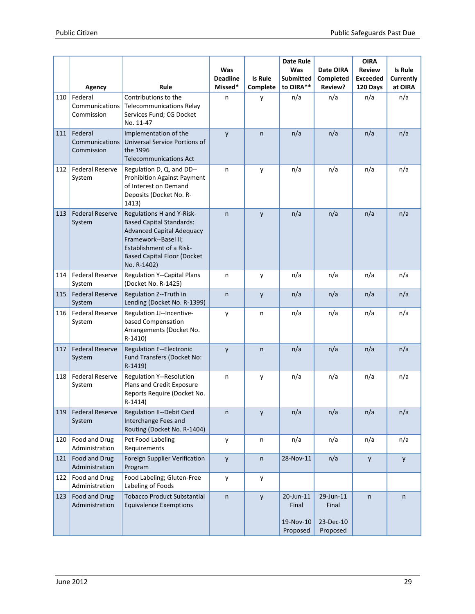|     | Agency                                  | Rule                                                                                                                                                                                                             | Was<br><b>Deadline</b><br>Missed* | <b>Is Rule</b><br>Complete | <b>Date Rule</b><br>Was<br><b>Submitted</b><br>to OIRA** | Date OIRA<br>Completed<br>Review?           | <b>OIRA</b><br><b>Review</b><br><b>Exceeded</b><br>120 Days | <b>Is Rule</b><br>Currently<br>at OIRA |
|-----|-----------------------------------------|------------------------------------------------------------------------------------------------------------------------------------------------------------------------------------------------------------------|-----------------------------------|----------------------------|----------------------------------------------------------|---------------------------------------------|-------------------------------------------------------------|----------------------------------------|
| 110 | Federal<br>Communications<br>Commission | Contributions to the<br><b>Telecommunications Relay</b><br>Services Fund; CG Docket<br>No. 11-47                                                                                                                 | n                                 | y                          | n/a                                                      | n/a                                         | n/a                                                         | n/a                                    |
| 111 | Federal<br>Communications<br>Commission | Implementation of the<br>Universal Service Portions of<br>the 1996<br><b>Telecommunications Act</b>                                                                                                              | y                                 | $\mathsf{n}$               | n/a                                                      | n/a                                         | n/a                                                         | n/a                                    |
| 112 | <b>Federal Reserve</b><br>System        | Regulation D, Q, and DD--<br><b>Prohibition Against Payment</b><br>of Interest on Demand<br>Deposits (Docket No. R-<br>1413)                                                                                     | n                                 | y                          | n/a                                                      | n/a                                         | n/a                                                         | n/a                                    |
| 113 | <b>Federal Reserve</b><br>System        | Regulations H and Y-Risk-<br><b>Based Capital Standards:</b><br><b>Advanced Capital Adequacy</b><br>Framework--Basel II;<br><b>Establishment of a Risk-</b><br><b>Based Capital Floor (Docket</b><br>No. R-1402) | n                                 | y                          | n/a                                                      | n/a                                         | n/a                                                         | n/a                                    |
| 114 | <b>Federal Reserve</b><br>System        | <b>Regulation Y--Capital Plans</b><br>(Docket No. R-1425)                                                                                                                                                        | n                                 | y                          | n/a                                                      | n/a                                         | n/a                                                         | n/a                                    |
| 115 | <b>Federal Reserve</b><br>System        | Regulation Z--Truth in<br>Lending (Docket No. R-1399)                                                                                                                                                            | n                                 | y                          | n/a                                                      | n/a                                         | n/a                                                         | n/a                                    |
| 116 | <b>Federal Reserve</b><br>System        | Regulation JJ--Incentive-<br>based Compensation<br>Arrangements (Docket No.<br>$R-1410$                                                                                                                          | у                                 | n                          | n/a                                                      | n/a                                         | n/a                                                         | n/a                                    |
| 117 | <b>Federal Reserve</b><br>System        | <b>Regulation E--Electronic</b><br>Fund Transfers (Docket No:<br>R-1419)                                                                                                                                         | y                                 | $\mathsf{n}$               | n/a                                                      | n/a                                         | n/a                                                         | n/a                                    |
| 118 | <b>Federal Reserve</b><br>System        | <b>Regulation Y--Resolution</b><br>Plans and Credit Exposure<br>Reports Require (Docket No.<br>R-1414)                                                                                                           | n                                 | y                          | n/a                                                      | n/a                                         | n/a                                                         | n/a                                    |
| 119 | <b>Federal Reserve</b><br>System        | <b>Regulation II--Debit Card</b><br>Interchange Fees and<br>Routing (Docket No. R-1404)                                                                                                                          | n                                 | y                          | n/a                                                      | n/a                                         | n/a                                                         | n/a                                    |
| 120 | Food and Drug<br>Administration         | Pet Food Labeling<br>Requirements                                                                                                                                                                                | у                                 | n                          | n/a                                                      | n/a                                         | n/a                                                         | n/a                                    |
| 121 | Food and Drug<br>Administration         | Foreign Supplier Verification<br>Program                                                                                                                                                                         | y                                 | $\sf n$                    | 28-Nov-11                                                | n/a                                         | y                                                           | y                                      |
| 122 | Food and Drug<br>Administration         | Food Labeling; Gluten-Free<br>Labeling of Foods                                                                                                                                                                  | y                                 | y                          |                                                          |                                             |                                                             |                                        |
| 123 | Food and Drug<br>Administration         | <b>Tobacco Product Substantial</b><br><b>Equivalence Exemptions</b>                                                                                                                                              | n                                 | $\mathsf{y}$               | 20-Jun-11<br>Final<br>19-Nov-10<br>Proposed              | 29-Jun-11<br>Final<br>23-Dec-10<br>Proposed | n                                                           | n                                      |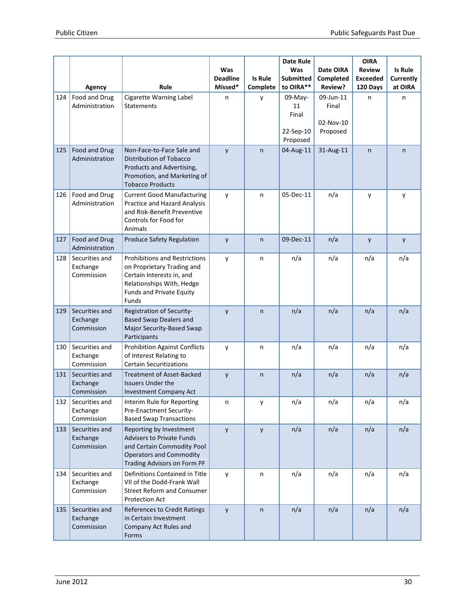|     |                                              |                                                                                                                                                                   |                        |              | <b>Date Rule</b>                                |                                             | <b>OIRA</b>                      |                             |
|-----|----------------------------------------------|-------------------------------------------------------------------------------------------------------------------------------------------------------------------|------------------------|--------------|-------------------------------------------------|---------------------------------------------|----------------------------------|-----------------------------|
|     |                                              |                                                                                                                                                                   | Was<br><b>Deadline</b> | Is Rule      | Was<br><b>Submitted</b>                         | Date OIRA<br>Completed                      | <b>Review</b><br><b>Exceeded</b> | <b>Is Rule</b><br>Currently |
|     | Agency                                       | Rule                                                                                                                                                              | Missed*                | Complete     | to OIRA**                                       | Review?                                     | 120 Days                         | at OIRA                     |
| 124 | Food and Drug<br>Administration              | Cigarette Warning Label<br><b>Statements</b>                                                                                                                      | n                      | y            | 09-May-<br>11<br>Final<br>22-Sep-10<br>Proposed | 09-Jun-11<br>Final<br>02-Nov-10<br>Proposed | n                                | n                           |
| 125 | Food and Drug<br>Administration              | Non-Face-to-Face Sale and<br>Distribution of Tobacco<br>Products and Advertising,<br>Promotion, and Marketing of<br><b>Tobacco Products</b>                       | y                      | n            | 04-Aug-11                                       | 31-Aug-11                                   | n                                | n                           |
| 126 | Food and Drug<br>Administration              | <b>Current Good Manufacturing</b><br>Practice and Hazard Analysis<br>and Risk-Benefit Preventive<br>Controls for Food for<br>Animals                              | y                      | n            | 05-Dec-11                                       | n/a                                         | y                                | y                           |
| 127 | Food and Drug<br>Administration              | Produce Safety Regulation                                                                                                                                         | y                      | $\mathsf{n}$ | 09-Dec-11                                       | n/a                                         | y                                | y                           |
| 128 | Securities and<br>Exchange<br>Commission     | <b>Prohibitions and Restrictions</b><br>on Proprietary Trading and<br>Certain Interests in, and<br>Relationships With, Hedge<br>Funds and Private Equity<br>Funds | у                      | n            | n/a                                             | n/a                                         | n/a                              | n/a                         |
| 129 | Securities and<br>Exchange<br>Commission     | Registration of Security-<br><b>Based Swap Dealers and</b><br>Major Security-Based Swap<br>Participants                                                           | y                      | $\mathsf{n}$ | n/a                                             | n/a                                         | n/a                              | n/a                         |
| 130 | Securities and<br>Exchange<br>Commission     | <b>Prohibition Against Conflicts</b><br>of Interest Relating to<br><b>Certain Securitizations</b>                                                                 | y                      | n            | n/a                                             | n/a                                         | n/a                              | n/a                         |
| 131 | Securities and<br>Exchange<br>Commission     | <b>Treatment of Asset-Backed</b><br><b>Issuers Under the</b><br><b>Investment Company Act</b>                                                                     | y                      | n            | n/a                                             | n/a                                         | n/a                              | n/a                         |
|     | 132 Securities and<br>Exchange<br>Commission | Interim Rule for Reporting<br>Pre-Enactment Security-<br><b>Based Swap Transactions</b>                                                                           | n                      | у            | n/a                                             | n/a                                         | n/a                              | n/a                         |
| 133 | Securities and<br>Exchange<br>Commission     | Reporting by Investment<br><b>Advisers to Private Funds</b><br>and Certain Commodity Pool<br><b>Operators and Commodity</b><br>Trading Advisors on Form PF        | y                      | y            | n/a                                             | n/a                                         | n/a                              | n/a                         |
| 134 | Securities and<br>Exchange<br>Commission     | Definitions Contained in Title<br>VII of the Dodd-Frank Wall<br><b>Street Reform and Consumer</b><br><b>Protection Act</b>                                        | у                      | n            | n/a                                             | n/a                                         | n/a                              | n/a                         |
| 135 | Securities and<br>Exchange<br>Commission     | References to Credit Ratings<br>in Certain Investment<br>Company Act Rules and<br>Forms                                                                           | y                      | $\sf n$      | n/a                                             | n/a                                         | n/a                              | n/a                         |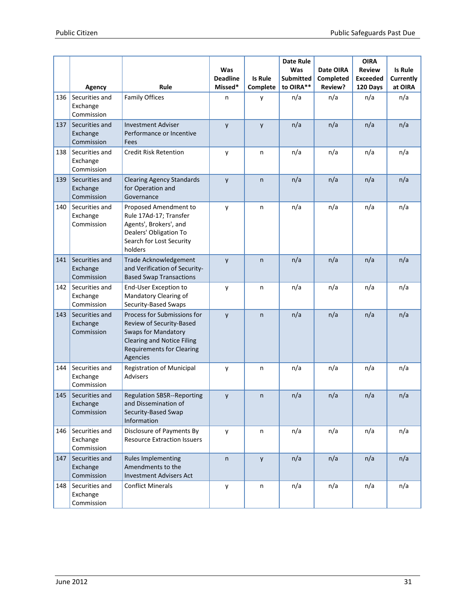|     |                                          |                                                                                                                                                                            | Was<br><b>Deadline</b> | <b>Is Rule</b> | <b>Date Rule</b><br>Was<br><b>Submitted</b> | Date OIRA<br>Completed | <b>OIRA</b><br><b>Review</b><br><b>Exceeded</b> | <b>Is Rule</b><br>Currently |
|-----|------------------------------------------|----------------------------------------------------------------------------------------------------------------------------------------------------------------------------|------------------------|----------------|---------------------------------------------|------------------------|-------------------------------------------------|-----------------------------|
|     | Agency                                   | Rule                                                                                                                                                                       | Missed*                | Complete       | to OIRA**                                   | Review?                | 120 Days                                        | at OIRA                     |
| 136 | Securities and<br>Exchange<br>Commission | <b>Family Offices</b>                                                                                                                                                      | n                      | у              | n/a                                         | n/a                    | n/a                                             | n/a                         |
| 137 | Securities and<br>Exchange<br>Commission | <b>Investment Adviser</b><br>Performance or Incentive<br>Fees                                                                                                              | y                      | y              | n/a                                         | n/a                    | n/a                                             | n/a                         |
| 138 | Securities and<br>Exchange<br>Commission | <b>Credit Risk Retention</b>                                                                                                                                               | y                      | n              | n/a                                         | n/a                    | n/a                                             | n/a                         |
| 139 | Securities and<br>Exchange<br>Commission | <b>Clearing Agency Standards</b><br>for Operation and<br>Governance                                                                                                        | y                      | n              | n/a                                         | n/a                    | n/a                                             | n/a                         |
| 140 | Securities and<br>Exchange<br>Commission | Proposed Amendment to<br>Rule 17Ad-17; Transfer<br>Agents', Brokers', and<br>Dealers' Obligation To<br>Search for Lost Security<br>holders                                 | y                      | n              | n/a                                         | n/a                    | n/a                                             | n/a                         |
| 141 | Securities and<br>Exchange<br>Commission | Trade Acknowledgement<br>and Verification of Security-<br><b>Based Swap Transactions</b>                                                                                   | y                      | $\mathsf{n}$   | n/a                                         | n/a                    | n/a                                             | n/a                         |
| 142 | Securities and<br>Exchange<br>Commission | <b>End-User Exception to</b><br>Mandatory Clearing of<br>Security-Based Swaps                                                                                              | y                      | n              | n/a                                         | n/a                    | n/a                                             | n/a                         |
| 143 | Securities and<br>Exchange<br>Commission | Process for Submissions for<br>Review of Security-Based<br><b>Swaps for Mandatory</b><br><b>Clearing and Notice Filing</b><br><b>Requirements for Clearing</b><br>Agencies | y                      | n              | n/a                                         | n/a                    | n/a                                             | n/a                         |
| 144 | Securities and<br>Exchange<br>Commission | <b>Registration of Municipal</b><br><b>Advisers</b>                                                                                                                        | y                      | n              | n/a                                         | n/a                    | n/a                                             | n/a                         |
| 145 | Securities and<br>Exchange<br>Commission | <b>Regulation SBSR--Reporting</b><br>and Dissemination of<br>Security-Based Swap<br>Information                                                                            | y                      | n              | n/a                                         | n/a                    | n/a                                             | n/a                         |
| 146 | Securities and<br>Exchange<br>Commission | Disclosure of Payments By<br><b>Resource Extraction Issuers</b>                                                                                                            | y                      | n              | n/a                                         | n/a                    | n/a                                             | n/a                         |
| 147 | Securities and<br>Exchange<br>Commission | <b>Rules Implementing</b><br>Amendments to the<br><b>Investment Advisers Act</b>                                                                                           | $\mathsf{n}$           | y              | n/a                                         | n/a                    | n/a                                             | n/a                         |
| 148 | Securities and<br>Exchange<br>Commission | <b>Conflict Minerals</b>                                                                                                                                                   | y                      | n              | n/a                                         | n/a                    | n/a                                             | n/a                         |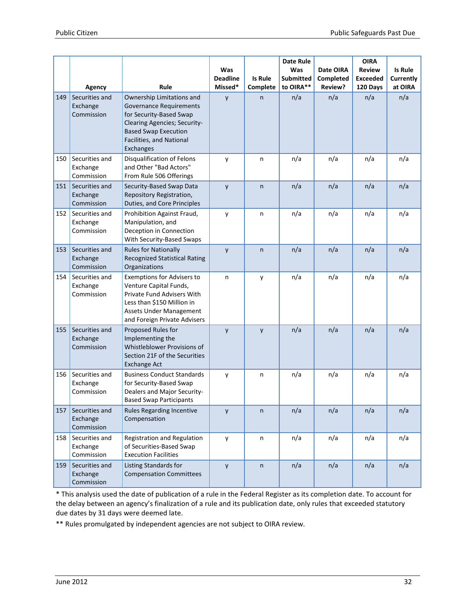|     |                                                    |                                                                                                                                                                                                        | Was<br><b>Deadline</b> | Is Rule       | <b>Date Rule</b><br>Was<br><b>Submitted</b> | Date OIRA<br>Completed | <b>OIRA</b><br><b>Review</b><br><b>Exceeded</b> | <b>Is Rule</b><br>Currently |
|-----|----------------------------------------------------|--------------------------------------------------------------------------------------------------------------------------------------------------------------------------------------------------------|------------------------|---------------|---------------------------------------------|------------------------|-------------------------------------------------|-----------------------------|
| 149 | Agency<br>Securities and<br>Exchange<br>Commission | Rule<br>Ownership Limitations and<br><b>Governance Requirements</b><br>for Security-Based Swap<br>Clearing Agencies; Security-<br><b>Based Swap Execution</b><br>Facilities, and National<br>Exchanges | Missed*<br>y           | Complete<br>n | to OIRA**<br>n/a                            | Review?<br>n/a         | 120 Days<br>n/a                                 | at OIRA<br>n/a              |
| 150 | Securities and<br>Exchange<br>Commission           | Disqualification of Felons<br>and Other "Bad Actors"<br>From Rule 506 Offerings                                                                                                                        | y                      | n             | n/a                                         | n/a                    | n/a                                             | n/a                         |
| 151 | Securities and<br>Exchange<br>Commission           | Security-Based Swap Data<br>Repository Registration,<br>Duties, and Core Principles                                                                                                                    | y                      | n             | n/a                                         | n/a                    | n/a                                             | n/a                         |
| 152 | Securities and<br>Exchange<br>Commission           | Prohibition Against Fraud,<br>Manipulation, and<br>Deception in Connection<br>With Security-Based Swaps                                                                                                | y                      | n             | n/a                                         | n/a                    | n/a                                             | n/a                         |
| 153 | Securities and<br>Exchange<br>Commission           | <b>Rules for Nationally</b><br><b>Recognized Statistical Rating</b><br>Organizations                                                                                                                   | y                      | $\mathsf{n}$  | n/a                                         | n/a                    | n/a                                             | n/a                         |
| 154 | Securities and<br>Exchange<br>Commission           | <b>Exemptions for Advisers to</b><br>Venture Capital Funds,<br>Private Fund Advisers With<br>Less than \$150 Million in<br>Assets Under Management<br>and Foreign Private Advisers                     | n                      | у             | n/a                                         | n/a                    | n/a                                             | n/a                         |
| 155 | Securities and<br>Exchange<br>Commission           | Proposed Rules for<br>Implementing the<br>Whistleblower Provisions of<br>Section 21F of the Securities<br><b>Exchange Act</b>                                                                          | y                      | y             | n/a                                         | n/a                    | n/a                                             | n/a                         |
| 156 | Securities and<br>Exchange<br>Commission           | <b>Business Conduct Standards</b><br>for Security-Based Swap<br>Dealers and Major Security-<br><b>Based Swap Participants</b>                                                                          | y                      | n             | n/a                                         | n/a                    | n/a                                             | n/a                         |
| 157 | Securities and<br>Exchange<br>Commission           | Rules Regarding Incentive<br>Compensation                                                                                                                                                              | y                      | n             | n/a                                         | n/a                    | n/a                                             | n/a                         |
| 158 | Securities and<br>Exchange<br>Commission           | Registration and Regulation<br>of Securities-Based Swap<br><b>Execution Facilities</b>                                                                                                                 | y                      | n             | n/a                                         | n/a                    | n/a                                             | n/a                         |
| 159 | Securities and<br>Exchange<br>Commission           | Listing Standards for<br><b>Compensation Committees</b>                                                                                                                                                | y                      | n             | n/a                                         | n/a                    | n/a                                             | n/a                         |

\* This analysis used the date of publication of a rule in the Federal Register as its completion date. To account for the delay between an agency's finalization of a rule and its publication date, only rules that exceeded statutory due dates by 31 days were deemed late.

\*\* Rules promulgated by independent agencies are not subject to OIRA review.